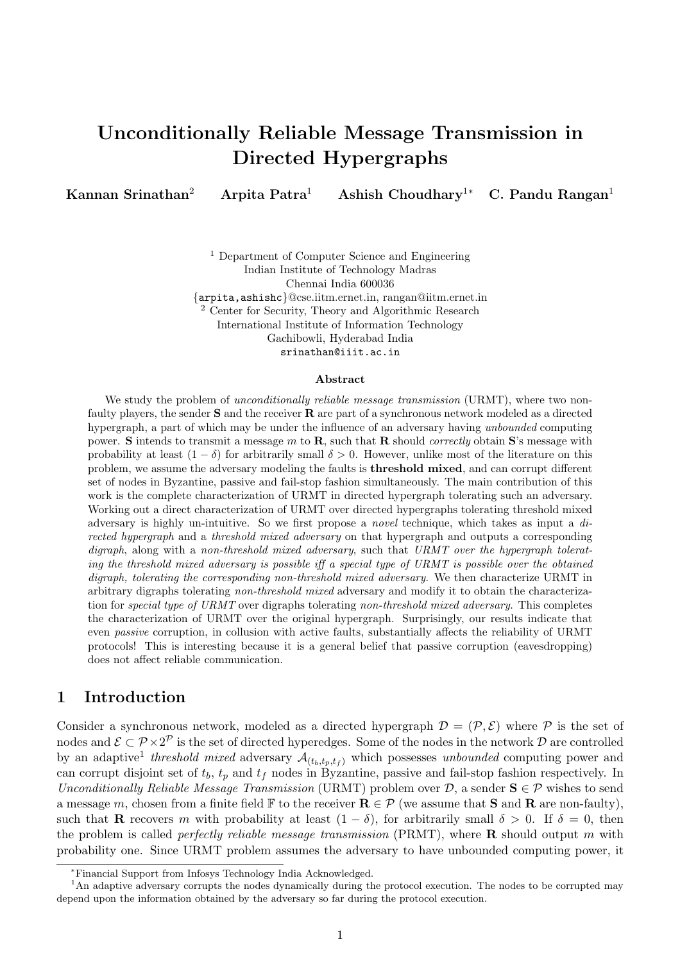# Unconditionally Reliable Message Transmission in Directed Hypergraphs

Kannan Srinathan<sup>2</sup> Arpita Patra<sup>1</sup> Ashish Choudhary<sup>1</sup>\* C. Pandu Rangan<sup>1</sup>

<sup>1</sup> Department of Computer Science and Engineering Indian Institute of Technology Madras Chennai India 600036 {arpita,ashishc}@cse.iitm.ernet.in, rangan@iitm.ernet.in <sup>2</sup> Center for Security, Theory and Algorithmic Research International Institute of Information Technology Gachibowli, Hyderabad India srinathan@iiit.ac.in

#### Abstract

We study the problem of *unconditionally reliable message transmission* (URMT), where two nonfaulty players, the sender S and the receiver R are part of a synchronous network modeled as a directed hypergraph, a part of which may be under the influence of an adversary having unbounded computing power. S intends to transmit a message m to R, such that R should *correctly* obtain S's message with probability at least  $(1 - \delta)$  for arbitrarily small  $\delta > 0$ . However, unlike most of the literature on this problem, we assume the adversary modeling the faults is threshold mixed, and can corrupt different set of nodes in Byzantine, passive and fail-stop fashion simultaneously. The main contribution of this work is the complete characterization of URMT in directed hypergraph tolerating such an adversary. Working out a direct characterization of URMT over directed hypergraphs tolerating threshold mixed adversary is highly un-intuitive. So we first propose a novel technique, which takes as input a directed hypergraph and a threshold mixed adversary on that hypergraph and outputs a corresponding digraph, along with a non-threshold mixed adversary, such that URMT over the hypergraph tolerating the threshold mixed adversary is possible iff a special type of URMT is possible over the obtained digraph, tolerating the corresponding non-threshold mixed adversary. We then characterize URMT in arbitrary digraphs tolerating non-threshold mixed adversary and modify it to obtain the characterization for special type of URMT over digraphs tolerating non-threshold mixed adversary. This completes the characterization of URMT over the original hypergraph. Surprisingly, our results indicate that even passive corruption, in collusion with active faults, substantially affects the reliability of URMT protocols! This is interesting because it is a general belief that passive corruption (eavesdropping) does not affect reliable communication.

### 1 Introduction

Consider a synchronous network, modeled as a directed hypergraph  $\mathcal{D} = (\mathcal{P}, \mathcal{E})$  where  $\mathcal P$  is the set of nodes and  $\mathcal{E} \subset \mathcal{P} \times 2^{\mathcal{P}}$  is the set of directed hyperedges. Some of the nodes in the network  $\mathcal{D}$  are controlled by an adaptive<sup>1</sup> threshold mixed adversary  $\mathcal{A}_{(t_b,t_p,t_f)}$  which possesses unbounded computing power and can corrupt disjoint set of  $t_b$ ,  $t_p$  and  $t_f$  nodes in Byzantine, passive and fail-stop fashion respectively. In Unconditionally Reliable Message Transmission (URMT) problem over  $D$ , a sender  $S \in \mathcal{P}$  wishes to send a message m, chosen from a finite field F to the receiver  $\mathbf{R} \in \mathcal{P}$  (we assume that S and R are non-faulty), such that **R** recovers m with probability at least  $(1 - \delta)$ , for arbitrarily small  $\delta > 0$ . If  $\delta = 0$ , then the problem is called *perfectly reliable message transmission* (PRMT), where  $\bf{R}$  should output m with probability one. Since URMT problem assumes the adversary to have unbounded computing power, it

<sup>∗</sup>Financial Support from Infosys Technology India Acknowledged.

<sup>&</sup>lt;sup>1</sup>An adaptive adversary corrupts the nodes dynamically during the protocol execution. The nodes to be corrupted may depend upon the information obtained by the adversary so far during the protocol execution.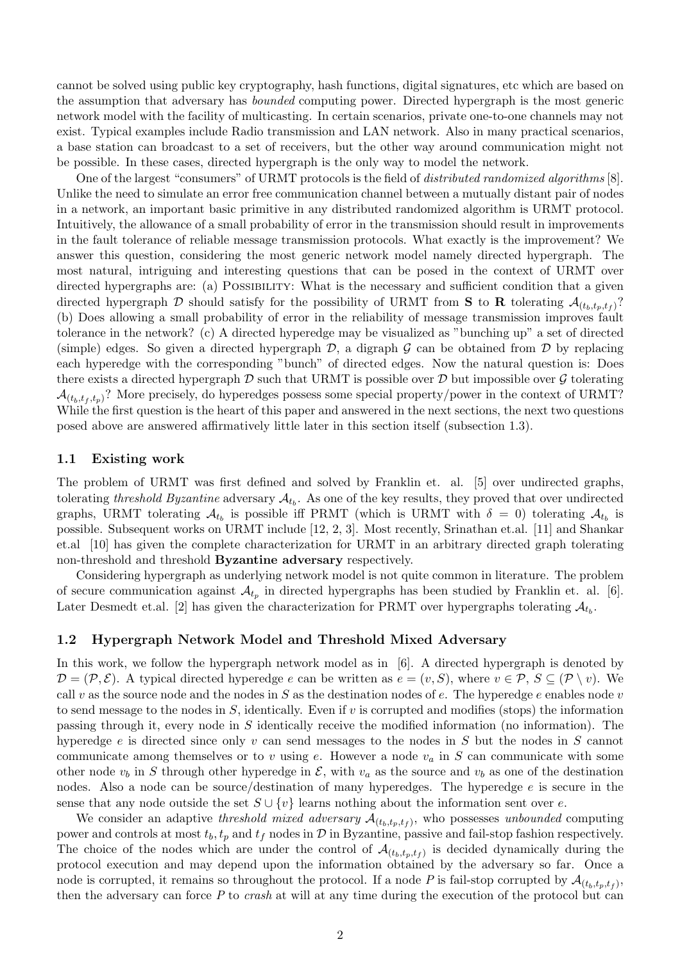cannot be solved using public key cryptography, hash functions, digital signatures, etc which are based on the assumption that adversary has bounded computing power. Directed hypergraph is the most generic network model with the facility of multicasting. In certain scenarios, private one-to-one channels may not exist. Typical examples include Radio transmission and LAN network. Also in many practical scenarios, a base station can broadcast to a set of receivers, but the other way around communication might not be possible. In these cases, directed hypergraph is the only way to model the network.

One of the largest "consumers" of URMT protocols is the field of distributed randomized algorithms [8]. Unlike the need to simulate an error free communication channel between a mutually distant pair of nodes in a network, an important basic primitive in any distributed randomized algorithm is URMT protocol. Intuitively, the allowance of a small probability of error in the transmission should result in improvements in the fault tolerance of reliable message transmission protocols. What exactly is the improvement? We answer this question, considering the most generic network model namely directed hypergraph. The most natural, intriguing and interesting questions that can be posed in the context of URMT over directed hypergraphs are: (a) POSSIBILITY: What is the necessary and sufficient condition that a given directed hypergraph D should satisfy for the possibility of URMT from S to R tolerating  $\mathcal{A}_{(t_b,t_p,t_f)}$ ? (b) Does allowing a small probability of error in the reliability of message transmission improves fault tolerance in the network? (c) A directed hyperedge may be visualized as "bunching up" a set of directed (simple) edges. So given a directed hypergraph  $\mathcal{D}$ , a digraph  $\mathcal{G}$  can be obtained from  $\mathcal{D}$  by replacing each hyperedge with the corresponding "bunch" of directed edges. Now the natural question is: Does there exists a directed hypergraph  $D$  such that URMT is possible over  $D$  but impossible over  $G$  tolerating  $\mathcal{A}_{(t_b,t_f,t_n)}$ ? More precisely, do hyperedges possess some special property/power in the context of URMT? While the first question is the heart of this paper and answered in the next sections, the next two questions posed above are answered affirmatively little later in this section itself (subsection 1.3).

#### 1.1 Existing work

The problem of URMT was first defined and solved by Franklin et. al. [5] over undirected graphs, tolerating threshold Byzantine adversary  $A_{t_b}$ . As one of the key results, they proved that over undirected graphs, URMT tolerating  $A_{t_b}$  is possible iff PRMT (which is URMT with  $\delta = 0$ ) tolerating  $A_{t_b}$  is possible. Subsequent works on URMT include [12, 2, 3]. Most recently, Srinathan et.al. [11] and Shankar et.al [10] has given the complete characterization for URMT in an arbitrary directed graph tolerating non-threshold and threshold Byzantine adversary respectively.

Considering hypergraph as underlying network model is not quite common in literature. The problem of secure communication against  $\mathcal{A}_{t_p}$  in directed hypergraphs has been studied by Franklin et. al. [6]. Later Desmedt et.al. [2] has given the characterization for PRMT over hypergraphs tolerating  $\mathcal{A}_{t_b}$ .

#### 1.2 Hypergraph Network Model and Threshold Mixed Adversary

In this work, we follow the hypergraph network model as in [6]. A directed hypergraph is denoted by  $\mathcal{D} = (\mathcal{P}, \mathcal{E})$ . A typical directed hyperedge e can be written as  $e = (v, S)$ , where  $v \in \mathcal{P}, S \subseteq (\mathcal{P} \setminus v)$ . We call v as the source node and the nodes in S as the destination nodes of  $e$ . The hyperedge e enables node v to send message to the nodes in  $S$ , identically. Even if v is corrupted and modifies (stops) the information passing through it, every node in S identically receive the modified information (no information). The hyperedge  $e$  is directed since only  $v$  can send messages to the nodes in  $S$  but the nodes in  $S$  cannot communicate among themselves or to v using e. However a node  $v_a$  in S can communicate with some other node  $v_b$  in S through other hyperedge in  $\mathcal{E}$ , with  $v_a$  as the source and  $v_b$  as one of the destination nodes. Also a node can be source/destination of many hyperedges. The hyperedge  $e$  is secure in the sense that any node outside the set  $S \cup \{v\}$  learns nothing about the information sent over e.

We consider an adaptive threshold mixed adversary  $\mathcal{A}_{(t_b,t_p,t_f)}$ , who possesses unbounded computing power and controls at most  $t_b$ ,  $t_p$  and  $t_f$  nodes in  $\mathcal D$  in Byzantine, passive and fail-stop fashion respectively. The choice of the nodes which are under the control of  $\mathcal{A}_{(t_b,t_p,t_f)}$  is decided dynamically during the protocol execution and may depend upon the information obtained by the adversary so far. Once a node is corrupted, it remains so throughout the protocol. If a node P is fail-stop corrupted by  $\mathcal{A}_{(t_b,t_p,t_f)}$ , then the adversary can force  $P$  to *crash* at will at any time during the execution of the protocol but can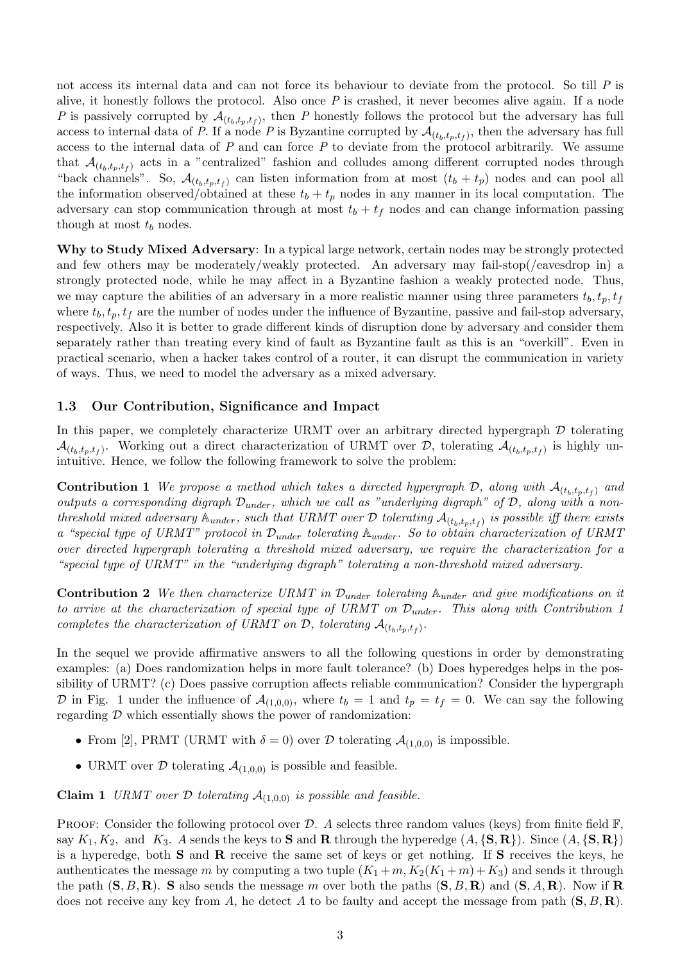not access its internal data and can not force its behaviour to deviate from the protocol. So till P is alive, it honestly follows the protocol. Also once  $P$  is crashed, it never becomes alive again. If a node P is passively corrupted by  $\mathcal{A}_{(t_b,t_p,t_f)}$ , then P honestly follows the protocol but the adversary has full access to internal data of P. If a node P is Byzantine corrupted by  $\mathcal{A}_{(t_b,t_p,t_f)}$ , then the adversary has full access to the internal data of  $P$  and can force  $P$  to deviate from the protocol arbitrarily. We assume that  $\mathcal{A}_{(t_b,t_p,t_f)}$  acts in a "centralized" fashion and colludes among different corrupted nodes through "back channels". So,  $\mathcal{A}_{(t_b,t_p,t_f)}$  can listen information from at most  $(t_b + t_p)$  nodes and can pool all the information observed/obtained at these  $t_b + t_p$  nodes in any manner in its local computation. The adversary can stop communication through at most  $t_b + t_f$  nodes and can change information passing though at most  $t_b$  nodes.

Why to Study Mixed Adversary: In a typical large network, certain nodes may be strongly protected and few others may be moderately/weakly protected. An adversary may fail-stop(/eavesdrop in) a strongly protected node, while he may affect in a Byzantine fashion a weakly protected node. Thus, we may capture the abilities of an adversary in a more realistic manner using three parameters  $t<sub>b</sub>$ ,  $t<sub>p</sub>$ ,  $t<sub>f</sub>$ where  $t_b, t_p, t_f$  are the number of nodes under the influence of Byzantine, passive and fail-stop adversary, respectively. Also it is better to grade different kinds of disruption done by adversary and consider them separately rather than treating every kind of fault as Byzantine fault as this is an "overkill". Even in practical scenario, when a hacker takes control of a router, it can disrupt the communication in variety of ways. Thus, we need to model the adversary as a mixed adversary.

#### 1.3 Our Contribution, Significance and Impact

In this paper, we completely characterize URMT over an arbitrary directed hypergraph  $D$  tolerating  $\mathcal{A}_{(t_b,t_p,t_f)}$ . Working out a direct characterization of URMT over D, tolerating  $\mathcal{A}_{(t_b,t_p,t_f)}$  is highly unintuitive. Hence, we follow the following framework to solve the problem:

**Contribution 1** We propose a method which takes a directed hypergraph  $D$ , along with  $\mathcal{A}_{(t_b,t_p,t_f)}$  and outputs a corresponding digraph  $\mathcal{D}_{under}$ , which we call as "underlying digraph" of  $\mathcal{D}$ , along with a nonthreshold mixed adversary  $\mathbb{A}_{under}$ , such that URMT over  $\mathcal D$  tolerating  $\mathcal{A}_{(t_b,t_p,t_f)}$  is possible iff there exists a "special type of URMT" protocol in  $\mathcal{D}_{under}$  tolerating  $\mathbb{A}_{under}$ . So to obtain characterization of URMT over directed hypergraph tolerating a threshold mixed adversary, we require the characterization for a "special type of URMT" in the "underlying digraph" tolerating a non-threshold mixed adversary.

**Contribution 2** We then characterize URMT in  $\mathcal{D}_{under}$  tolerating  $\mathbb{A}_{under}$  and give modifications on it to arrive at the characterization of special type of URMT on  $\mathcal{D}_{under}$ . This along with Contribution 1 completes the characterization of URMT on  $D$ , tolerating  $\mathcal{A}_{(t_b,t_p,t_f)}$ .

In the sequel we provide affirmative answers to all the following questions in order by demonstrating examples: (a) Does randomization helps in more fault tolerance? (b) Does hyperedges helps in the possibility of URMT? (c) Does passive corruption affects reliable communication? Consider the hypergraph D in Fig. 1 under the influence of  $\mathcal{A}_{(1,0,0)}$ , where  $t_b = 1$  and  $t_p = t_f = 0$ . We can say the following regarding  $D$  which essentially shows the power of randomization:

- From [2], PRMT (URMT with  $\delta = 0$ ) over D tolerating  $\mathcal{A}_{(1,0,0)}$  is impossible.
- URMT over  $D$  tolerating  $A_{(1,0,0)}$  is possible and feasible.

**Claim 1** URMT over  $D$  tolerating  $A_{(1,0,0)}$  is possible and feasible.

**PROOF:** Consider the following protocol over D. A selects three random values (keys) from finite field  $\mathbb{F}$ , say  $K_1, K_2$ , and  $K_3$ . A sends the keys to **S** and **R** through the hyperedge  $(A, \{S, R\})$ . Since  $(A, \{S, R\})$ is a hyperedge, both S and R receive the same set of keys or get nothing. If S receives the keys, he authenticates the message m by computing a two tuple  $(K_1+m, K_2(K_1+m)+K_3)$  and sends it through the path  $(S, B, R)$ . S also sends the message m over both the paths  $(S, B, R)$  and  $(S, A, R)$ . Now if R does not receive any key from A, he detect A to be faulty and accept the message from path  $(S, B, R)$ .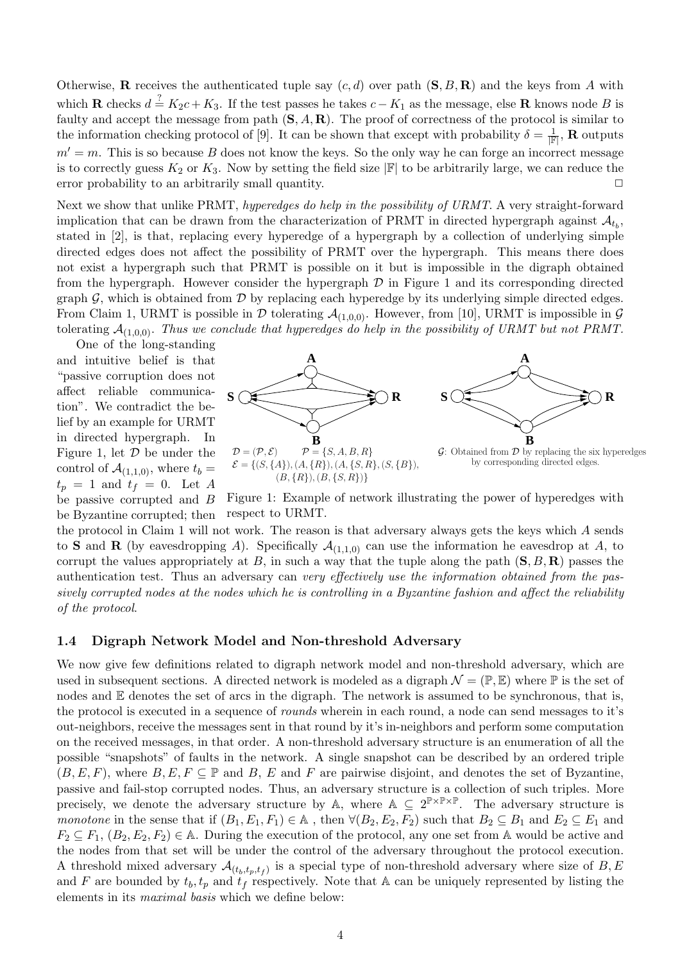Otherwise, **R** receives the authenticated tuple say  $(c, d)$  over path  $(S, B, R)$  and the keys from A with which **R** checks  $d = K_2c + K_3$ . If the test passes he takes  $c - K_1$  as the message, else **R** knows node B is faulty and accept the message from path  $(S, A, R)$ . The proof of correctness of the protocol is similar to the information checking protocol of [9]. It can be shown that except with probability  $\delta = \frac{1}{\mathbb{R}}$  $\frac{1}{|{\bf \mathbb{F}}|},\, {\bf R}$  outputs  $m' = m$ . This is so because B does not know the keys. So the only way he can forge an incorrect message is to correctly guess  $K_2$  or  $K_3$ . Now by setting the field size  $|\mathbb{F}|$  to be arbitrarily large, we can reduce the error probability to an arbitrarily small quantity.  $\Box$ 

Next we show that unlike PRMT, hyperedges do help in the possibility of URMT. A very straight-forward implication that can be drawn from the characterization of PRMT in directed hypergraph against  $\mathcal{A}_{t_b}$ , stated in [2], is that, replacing every hyperedge of a hypergraph by a collection of underlying simple directed edges does not affect the possibility of PRMT over the hypergraph. This means there does not exist a hypergraph such that PRMT is possible on it but is impossible in the digraph obtained from the hypergraph. However consider the hypergraph  $\mathcal D$  in Figure 1 and its corresponding directed graph  $G$ , which is obtained from  $D$  by replacing each hyperedge by its underlying simple directed edges. From Claim 1, URMT is possible in  $D$  tolerating  $\mathcal{A}_{(1,0,0)}$ . However, from [10], URMT is impossible in  $\mathcal G$ tolerating  $A_{(1,0,0)}$ . Thus we conclude that hyperedges do help in the possibility of URMT but not PRMT.

One of the long-standing and intuitive belief is that "passive corruption does not affect reliable communication". We contradict the belief by an example for URMT in directed hypergraph. In Figure 1, let  $\mathcal D$  be under the control of  $\mathcal{A}_{(1,1,0)}$ , where  $t_b =$  $t_p = 1$  and  $t_f = 0$ . Let A be passive corrupted and B



Figure 1: Example of network illustrating the power of hyperedges with respect to URMT. be Byzantine corrupted; then

the protocol in Claim 1 will not work. The reason is that adversary always gets the keys which A sends to S and R (by eavesdropping A). Specifically  $\mathcal{A}_{(1,1,0)}$  can use the information he eavesdrop at A, to corrupt the values appropriately at B, in such a way that the tuple along the path  $(S, B, R)$  passes the authentication test. Thus an adversary can very effectively use the information obtained from the passively corrupted nodes at the nodes which he is controlling in a Byzantine fashion and affect the reliability of the protocol.

#### 1.4 Digraph Network Model and Non-threshold Adversary

We now give few definitions related to digraph network model and non-threshold adversary, which are used in subsequent sections. A directed network is modeled as a digraph  $\mathcal{N} = (\mathbb{P}, \mathbb{E})$  where  $\mathbb P$  is the set of nodes and  $E$  denotes the set of arcs in the digraph. The network is assumed to be synchronous, that is, the protocol is executed in a sequence of *rounds* wherein in each round, a node can send messages to it's out-neighbors, receive the messages sent in that round by it's in-neighbors and perform some computation on the received messages, in that order. A non-threshold adversary structure is an enumeration of all the possible "snapshots" of faults in the network. A single snapshot can be described by an ordered triple  $(B, E, F)$ , where  $B, E, F \subseteq \mathbb{P}$  and  $B, E$  and F are pairwise disjoint, and denotes the set of Byzantine, passive and fail-stop corrupted nodes. Thus, an adversary structure is a collection of such triples. More precisely, we denote the adversary structure by A, where  $A \subseteq 2^{\mathbb{P} \times \mathbb{P} \times \mathbb{P}}$ . The adversary structure is monotone in the sense that if  $(B_1, E_1, F_1) \in A$ , then  $\forall (B_2, E_2, F_2)$  such that  $B_2 \subseteq B_1$  and  $E_2 \subseteq E_1$  and  $F_2 \subseteq F_1$ ,  $(B_2, E_2, F_2) \in A$ . During the execution of the protocol, any one set from A would be active and the nodes from that set will be under the control of the adversary throughout the protocol execution. A threshold mixed adversary  $\mathcal{A}_{(t_b,t_p,t_f)}$  is a special type of non-threshold adversary where size of B, E and F are bounded by  $t_b$ ,  $t_p$  and  $t_f$  respectively. Note that A can be uniquely represented by listing the elements in its maximal basis which we define below: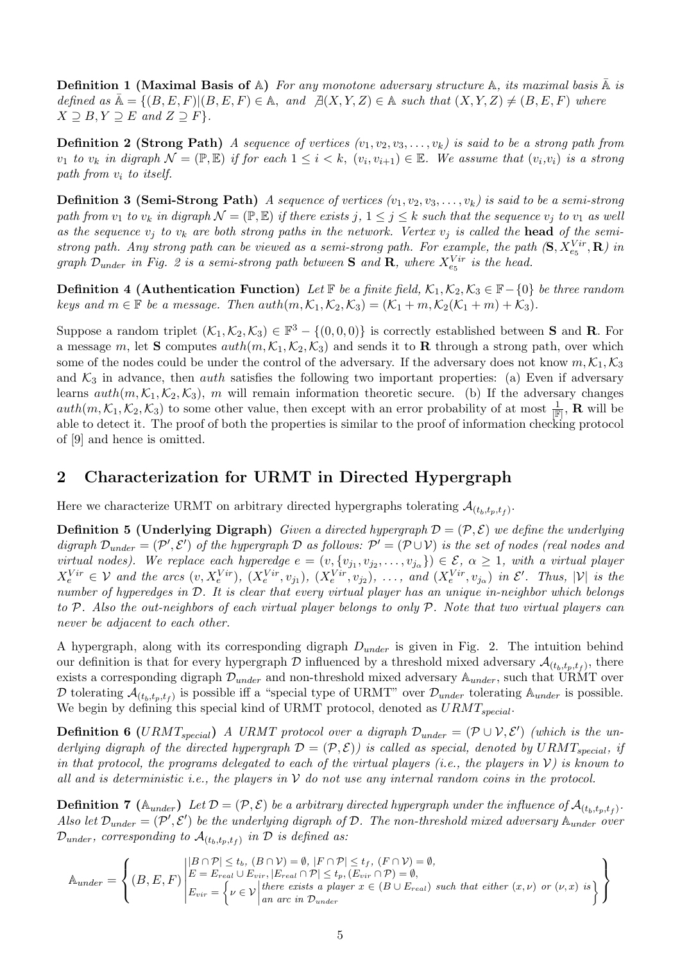**Definition 1 (Maximal Basis of A)** For any monotone adversary structure A, its maximal basis  $\overline{A}$  is defined as  $\overline{A} = \{(B, E, F) | (B, E, F) \in \mathbb{A}, \text{ and } \nexists (X, Y, Z) \in \mathbb{A} \text{ such that } (X, Y, Z) \neq (B, E, F) \text{ where } \nabla A = \nabla A \cdot \nabla B$  $X \supseteq B, Y \supseteq E$  and  $Z \supseteq F$ .

**Definition 2 (Strong Path)** A sequence of vertices  $(v_1, v_2, v_3, \ldots, v_k)$  is said to be a strong path from  $v_1$  to  $v_k$  in digraph  $\mathcal{N} = (\mathbb{P}, \mathbb{E})$  if for each  $1 \leq i < k$ ,  $(v_i, v_{i+1}) \in \mathbb{E}$ . We assume that  $(v_i, v_i)$  is a strong path from  $v_i$  to itself.

**Definition 3 (Semi-Strong Path)** A sequence of vertices  $(v_1, v_2, v_3, \ldots, v_k)$  is said to be a semi-strong path from  $v_1$  to  $v_k$  in digraph  $\mathcal{N} = (\mathbb{P}, \mathbb{E})$  if there exists j,  $1 \leq j \leq k$  such that the sequence  $v_j$  to  $v_1$  as well as the sequence  $v_i$  to  $v_k$  are both strong paths in the network. Vertex  $v_i$  is called the **head** of the semistrong path. Any strong path can be viewed as a semi-strong path. For example, the path  $(S, X_{e_5}^{Vir}, R)$  in graph  $\mathcal{D}_{under}$  in Fig. 2 is a semi-strong path between **S** and **R**, where  $X_{e_5}^{Vir}$  is the head.

**Definition 4 (Authentication Function)** Let **F** be a finite field,  $\mathcal{K}_1, \mathcal{K}_2, \mathcal{K}_3 \in \mathbb{F} - \{0\}$  be three random keys and  $m \in \mathbb{F}$  be a message. Then  $auth(m, \mathcal{K}_1, \mathcal{K}_2, \mathcal{K}_3) = (\mathcal{K}_1 + m, \mathcal{K}_2(\mathcal{K}_1 + m) + \mathcal{K}_3).$ 

Suppose a random triplet  $(\mathcal{K}_1, \mathcal{K}_2, \mathcal{K}_3) \in \mathbb{F}^3 - \{(0,0,0)\}\$ is correctly established between **S** and **R**. For a message m, let **S** computes  $auth(m, \mathcal{K}_1, \mathcal{K}_2, \mathcal{K}_3)$  and sends it to **R** through a strong path, over which some of the nodes could be under the control of the adversary. If the adversary does not know  $m, \mathcal{K}_1, \mathcal{K}_3$ and  $\mathcal{K}_3$  in advance, then *auth* satisfies the following two important properties: (a) Even if adversary learns  $auth(m, \mathcal{K}_1, \mathcal{K}_2, \mathcal{K}_3)$ , m will remain information theoretic secure. (b) If the adversary changes  $auth(m, \mathcal{K}_1, \mathcal{K}_2, \mathcal{K}_3)$  to some other value, then except with an error probability of at most  $\frac{1}{|\mathbb{F}|}$ , **R** will be able to detect it. The proof of both the properties is similar to the proof of information checking protocol of [9] and hence is omitted.

### 2 Characterization for URMT in Directed Hypergraph

Here we characterize URMT on arbitrary directed hypergraphs tolerating  $\mathcal{A}_{(t_b,t_p,t_f)}$ .

**Definition 5 (Underlying Digraph)** Given a directed hypergraph  $\mathcal{D} = (\mathcal{P}, \mathcal{E})$  we define the underlying digraph  $\mathcal{D}_{under} = (\mathcal{P}', \mathcal{E}')$  of the hypergraph  $\mathcal D$  as follows:  $\mathcal{P}' = (\mathcal{P} \cup \mathcal{V})$  is the set of nodes (real nodes and virtual nodes). We replace each hyperedge  $e = (v, \{v_{j_1}, v_{j_2}, \ldots, v_{j_\alpha}\}) \in \mathcal{E}, \ \alpha \geq 1$ , with a virtual player  $X_e^{Vir} \in \mathcal{V}$  and the arcs  $(v, X_e^{Vir})$ ,  $(X_e^{Vir}, v_{j_1})$ ,  $(X_e^{Vir}, v_{j_2})$ , ..., and  $(X_e^{Vir}, v_{j_\alpha})$  in  $\mathcal{E}'$ . Thus,  $|\mathcal{V}|$  is the number of hyperedges in  $D$ . It is clear that every virtual player has an unique in-neighbor which belongs to P. Also the out-neighbors of each virtual player belongs to only P. Note that two virtual players can never be adjacent to each other.

A hypergraph, along with its corresponding digraph  $D_{under}$  is given in Fig. 2. The intuition behind our definition is that for every hypergraph  $D$  influenced by a threshold mixed adversary  $\mathcal{A}_{(t_b,t_p,t_f)}$ , there exists a corresponding digraph  $\mathcal{D}_{under}$  and non-threshold mixed adversary  $\mathbb{A}_{under}$ , such that URMT over D tolerating  $\mathcal{A}_{(t_b,t_p,t_f)}$  is possible iff a "special type of URMT" over  $\mathcal{D}_{under}$  tolerating  $\mathbb{A}_{under}$  is possible. We begin by defining this special kind of URMT protocol, denoted as  $URMT_{special}$ .

**Definition 6** (URMT<sub>special</sub>) A URMT protocol over a digraph  $\mathcal{D}_{under} = (\mathcal{P} \cup \mathcal{V}, \mathcal{E}')$  (which is the underlying digraph of the directed hypergraph  $\mathcal{D} = (\mathcal{P}, \mathcal{E})$  is called as special, denoted by URMT<sub>special</sub>, if in that protocol, the programs delegated to each of the virtual players (i.e., the players in  $V$ ) is known to all and is deterministic i.e., the players in  $V$  do not use any internal random coins in the protocol.

**Definition 7** ( $\mathbb{A}_{under}$ ) Let  $\mathcal{D} = (\mathcal{P}, \mathcal{E})$  be a arbitrary directed hypergraph under the influence of  $\mathcal{A}_{(t_b,t_p,t_f)}$ . Also let  $\mathcal{D}_{under} = (\mathcal{P}', \mathcal{E}')$  be the underlying digraph of  $\mathcal{D}$ . The non-threshold mixed adversary  $\mathbb{A}_{under}$  over  $\mathcal{D}_{under}$ , corresponding to  $\mathcal{A}_{(t_b,t_p,t_f)}$  in  $\mathcal D$  is defined as:

$$
\mathbb{A}_{under} = \left\{ (B, E, F) \middle| \begin{aligned} &|B \cap \mathcal{P}| \le t_b, (B \cap \mathcal{V}) = \emptyset, |F \cap \mathcal{P}| \le t_f, (F \cap \mathcal{V}) = \emptyset, \\ &E = E_{real} \cup E_{vir}, |E_{real} \cap \mathcal{P}| \le t_p, (E_{vir} \cap \mathcal{P}) = \emptyset, \\ &E_{vir} = \left\{ \nu \in \mathcal{V} \middle| \begin{aligned} &\text{there exists a player } x \in (B \cup E_{real}) \text{ such that either } (x, \nu) \text{ or } (\nu, x) \text{ is} \\ &\text{an arc in } \mathcal{D}_{under} \end{aligned} \right\} \right\}
$$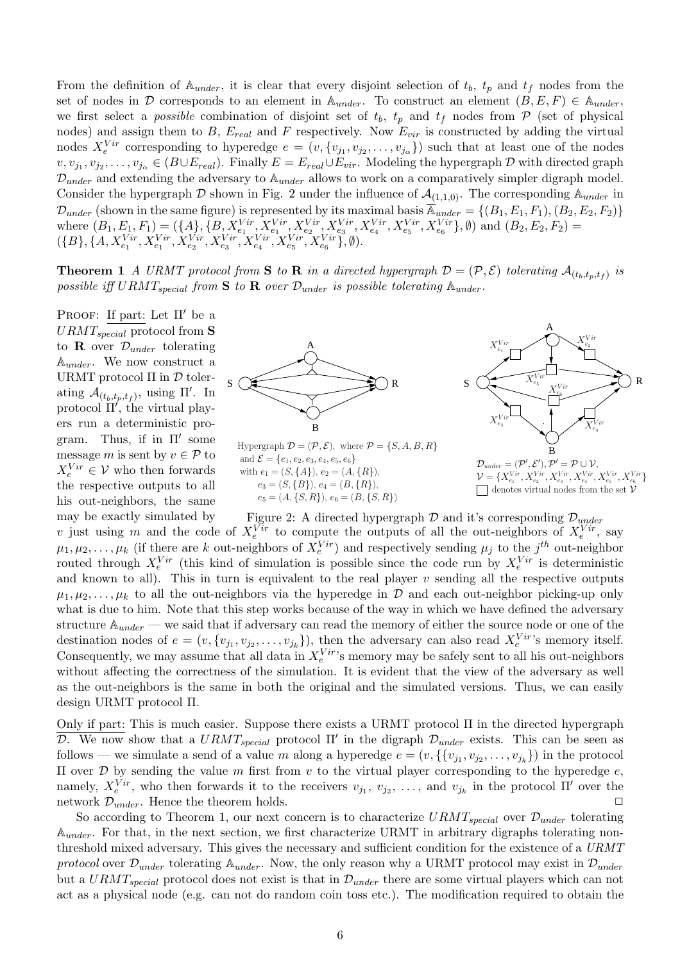From the definition of  $A_{under}$ , it is clear that every disjoint selection of  $t_b$ ,  $t_p$  and  $t_f$  nodes from the set of nodes in D corresponds to an element in  $\mathbb{A}_{under}$ . To construct an element  $(B, E, F) \in \mathbb{A}_{under}$ , we first select a *possible* combination of disjoint set of  $t_b$ ,  $t_p$  and  $t_f$  nodes from  $\mathcal P$  (set of physical nodes) and assign them to  $B$ ,  $E_{real}$  and F respectively. Now  $E_{vir}$  is constructed by adding the virtual nodes  $X_e^{Vir}$  corresponding to hyperedge  $e = (v, \{v_{j_1}, v_{j_2}, \ldots, v_{j_\alpha}\})$  such that at least one of the nodes  $v, v_{j_1}, v_{j_2}, \ldots, v_{j_\alpha} \in (B \cup E_{real})$ . Finally  $E = E_{real} \cup E_{vir}$ . Modeling the hypergraph  $D$  with directed graph  $\mathcal{D}_{under}$  and extending the adversary to  $\mathbb{A}_{under}$  allows to work on a comparatively simpler digraph model. Consider the hypergraph D shown in Fig. 2 under the influence of  $\mathcal{A}_{(1,1,0)}$ . The corresponding  $\mathbb{A}_{under}$  in  $\mathcal{D}_{under}$  (shown in the same figure) is represented by its maximal basis  $\overline{\mathbb{A}}_{under} = \{(B_1, E_1, F_1), (B_2, E_2, F_2)\}$ where  $(B_1, E_1, F_1) = (\{A\}, \{B, X_{e_1}^{Vir}, X_{e_1}^{Vir}, X_{e_2}^{Vir}, X_{e_3}^{Vir}, X_{e_4}^{Vir}, X_{e_5}^{Vir}, X_{e_6}^{Vir}\}, \emptyset)$  and  $(B_2, E_2, F_2)$  =  $({B}, {A, X_{e_1}^{Vir}, X_{e_1}^{Vir}, X_{e_2}^{Vir}, X_{e_3}^{Vir}, X_{e_4}^{Vir}, X_{e_5}^{Vir}, X_{e_6}^{Vir})$ ,  $\emptyset$ ).

**Theorem 1** A URMT protocol from **S** to **R** in a directed hypergraph  $\mathcal{D} = (\mathcal{P}, \mathcal{E})$  tolerating  $\mathcal{A}_{(t_b,t_p,t_f)}$  is possible iff URMT<sub>special</sub> from S to R over  $\mathcal{D}_{under}$  is possible tolerating  $\mathbb{A}_{under}$ .

PROOF: If part: Let  $\Pi'$  be a  $URMT_{special}$  protocol from S to **R** over  $\mathcal{D}_{under}$  tolerating  $\mathbb{A}_{under}$ . We now construct a URMT protocol  $\Pi$  in  $\mathcal D$  tolerating  $\mathcal{A}_{(t_b,t_p,t_f)}$ , using  $\Pi'$ . In protocol  $\Pi'$ , the virtual players run a deterministic program. Thus, if in  $\Pi'$  some message m is sent by  $v \in \mathcal{P}$  to  $X_e^{Vir} \in \mathcal{V}$  who then forwards the respective outputs to all his out-neighbors, the same may be exactly simulated by



Hypergraph  $\mathcal{D} = (\mathcal{P}, \mathcal{E})$ , where  $\mathcal{P} = \{S, A, B, R\}$ and  $\mathcal{E} = \{e_1, e_2, e_3, e_4, e_5, e_6\}$ with  $e_1 = (S, \{A\}), e_2 = (A, \{R\}),$  $e_3 = (S, {B}), e_4 = (B, {R}),$  $e_5 = (A, \{S, R\}), e_6 = (B, \{S, R\})$ 



Figure 2: A directed hypergraph  $\mathcal D$  and it's corresponding  $\mathcal D_{under}$ v just using m and the code of  $X_e^{\overline{Vir}}$  to compute the outputs of all the out-neighbors of  $X_e^{\overline{Vir}}$ , say  $\mu_1, \mu_2, \ldots, \mu_k$  (if there are k out-neighbors of  $X_e^{Vir}$ ) and respectively sending  $\mu_j$  to the  $j^{th}$  out-neighbor routed through  $X_e^{Vir}$  (this kind of simulation is possible since the code run by  $X_e^{Vir}$  is deterministic and known to all). This in turn is equivalent to the real player  $v$  sending all the respective outputs  $\mu_1, \mu_2, \ldots, \mu_k$  to all the out-neighbors via the hyperedge in D and each out-neighbor picking-up only what is due to him. Note that this step works because of the way in which we have defined the adversary structure  $\mathbb{A}_{under}$  — we said that if adversary can read the memory of either the source node or one of the destination nodes of  $e = (v, \{v_{j_1}, v_{j_2}, \ldots, v_{j_k}\})$ , then the adversary can also read  $X_e^{Vir}$ 's memory itself. Consequently, we may assume that all data in  $X_e^{Vir}$ 's memory may be safely sent to all his out-neighbors without affecting the correctness of the simulation. It is evident that the view of the adversary as well as the out-neighbors is the same in both the original and the simulated versions. Thus, we can easily design URMT protocol Π.

Only if part: This is much easier. Suppose there exists a URMT protocol Π in the directed hypergraph D. We now show that a  $URMT_{special}$  protocol  $\Pi'$  in the digraph  $\mathcal{D}_{under}$  exists. This can be seen as follows — we simulate a send of a value m along a hyperedge  $e = (v, \{v_{j_1}, v_{j_2}, \ldots, v_{j_k}\})$  in the protocol II over  $D$  by sending the value m first from v to the virtual player corresponding to the hyperedge  $e$ , namely,  $X_e^{Vir}$ , who then forwards it to the receivers  $v_{j_1}, v_{j_2}, \ldots$ , and  $v_{j_k}$  in the protocol  $\Pi'$  over the network  $\mathcal{D}_{under}$ . Hence the theorem holds.

So according to Theorem 1, our next concern is to characterize  $URMT_{special}$  over  $\mathcal{D}_{under}$  tolerating  $\mathbb{A}_{under}$ . For that, in the next section, we first characterize URMT in arbitrary digraphs tolerating nonthreshold mixed adversary. This gives the necessary and sufficient condition for the existence of a URMT protocol over  $\mathcal{D}_{under}$  tolerating  $\mathbb{A}_{under}$ . Now, the only reason why a URMT protocol may exist in  $\mathcal{D}_{under}$ but a  $URMT_{special}$  protocol does not exist is that in  $\mathcal{D}_{under}$  there are some virtual players which can not act as a physical node (e.g. can not do random coin toss etc.). The modification required to obtain the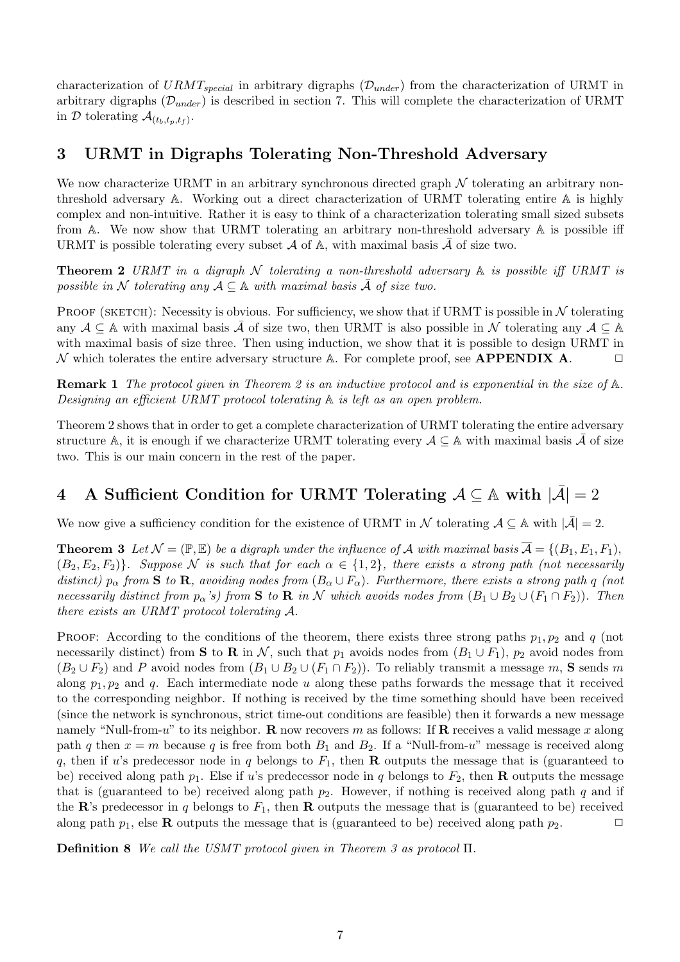characterization of  $URMT_{special}$  in arbitrary digraphs ( $\mathcal{D}_{under}$ ) from the characterization of URMT in arbitrary digraphs  $(\mathcal{D}_{under})$  is described in section 7. This will complete the characterization of URMT in D tolerating  $\mathcal{A}_{(t_b,t_p,t_f)}$ .

## 3 URMT in Digraphs Tolerating Non-Threshold Adversary

We now characterize URMT in an arbitrary synchronous directed graph  $\mathcal N$  tolerating an arbitrary nonthreshold adversary A. Working out a direct characterization of URMT tolerating entire A is highly complex and non-intuitive. Rather it is easy to think of a characterization tolerating small sized subsets from  $A$ . We now show that URMT tolerating an arbitrary non-threshold adversary  $A$  is possible iff URMT is possible tolerating every subset  $\mathcal A$  of  $\mathbb A$ , with maximal basis  $\overline{\mathcal A}$  of size two.

**Theorem 2** URMT in a digraph N tolerating a non-threshold adversary  $\mathbb A$  is possible iff URMT is possible in N tolerating any  $A \subseteq \mathbb{A}$  with maximal basis  $\overline{A}$  of size two.

PROOF (SKETCH): Necessity is obvious. For sufficiency, we show that if URMT is possible in  $N$  tolerating any  $A \subseteq A$  with maximal basis  $\overline{A}$  of size two, then URMT is also possible in N tolerating any  $A \subseteq A$ with maximal basis of size three. Then using induction, we show that it is possible to design URMT in N which tolerates the entire adversary structure A. For complete proof, see **APPENDIX A.** 

Remark 1 The protocol given in Theorem 2 is an inductive protocol and is exponential in the size of A. Designing an efficient URMT protocol tolerating A is left as an open problem.

Theorem 2 shows that in order to get a complete characterization of URMT tolerating the entire adversary structure A, it is enough if we characterize URMT tolerating every  $A \subseteq A$  with maximal basis  $\bar{A}$  of size two. This is our main concern in the rest of the paper.

# 4 A Sufficient Condition for URMT Tolerating  $A \subseteq A$  with  $|\bar{A}| = 2$

We now give a sufficiency condition for the existence of URMT in  $\mathcal N$  tolerating  $\mathcal A \subseteq \mathbb A$  with  $|\bar{\mathcal A}| = 2$ .

**Theorem 3** Let  $\mathcal{N} = (\mathbb{P}, \mathbb{E})$  be a digraph under the influence of A with maximal basis  $\overline{\mathcal{A}} = \{(B_1, E_1, F_1),\}$  $(B_2, E_2, F_2)$ . Suppose N is such that for each  $\alpha \in \{1,2\}$ , there exists a strong path (not necessarily distinct)  $p_{\alpha}$  from S to R, avoiding nodes from  $(B_{\alpha} \cup F_{\alpha})$ . Furthermore, there exists a strong path q (not necessarily distinct from  $p_{\alpha}$ 's) from S to R in N which avoids nodes from  $(B_1 \cup B_2 \cup (F_1 \cap F_2))$ . Then there exists an URMT protocol tolerating A.

PROOF: According to the conditions of the theorem, there exists three strong paths  $p_1, p_2$  and q (not necessarily distinct) from S to R in N, such that  $p_1$  avoids nodes from  $(B_1 \cup F_1)$ ,  $p_2$  avoid nodes from  $(B_2 \cup F_2)$  and P avoid nodes from  $(B_1 \cup B_2 \cup (F_1 \cap F_2))$ . To reliably transmit a message m, S sends m along  $p_1, p_2$  and q. Each intermediate node u along these paths forwards the message that it received to the corresponding neighbor. If nothing is received by the time something should have been received (since the network is synchronous, strict time-out conditions are feasible) then it forwards a new message namely "Null-from-u" to its neighbor. **R** now recovers m as follows: If **R** receives a valid message x along path q then  $x = m$  because q is free from both  $B_1$  and  $B_2$ . If a "Null-from-u" message is received along q, then if u's predecessor node in q belongs to  $F_1$ , then **R** outputs the message that is (guaranteed to be) received along path  $p_1$ . Else if u's predecessor node in q belongs to  $F_2$ , then **R** outputs the message that is (guaranteed to be) received along path  $p_2$ . However, if nothing is received along path q and if the R's predecessor in q belongs to  $F_1$ , then R outputs the message that is (guaranteed to be) received along path  $p_1$ , else **R** outputs the message that is (guaranteed to be) received along path  $p_2$ .

Definition 8 We call the USMT protocol given in Theorem 3 as protocol Π.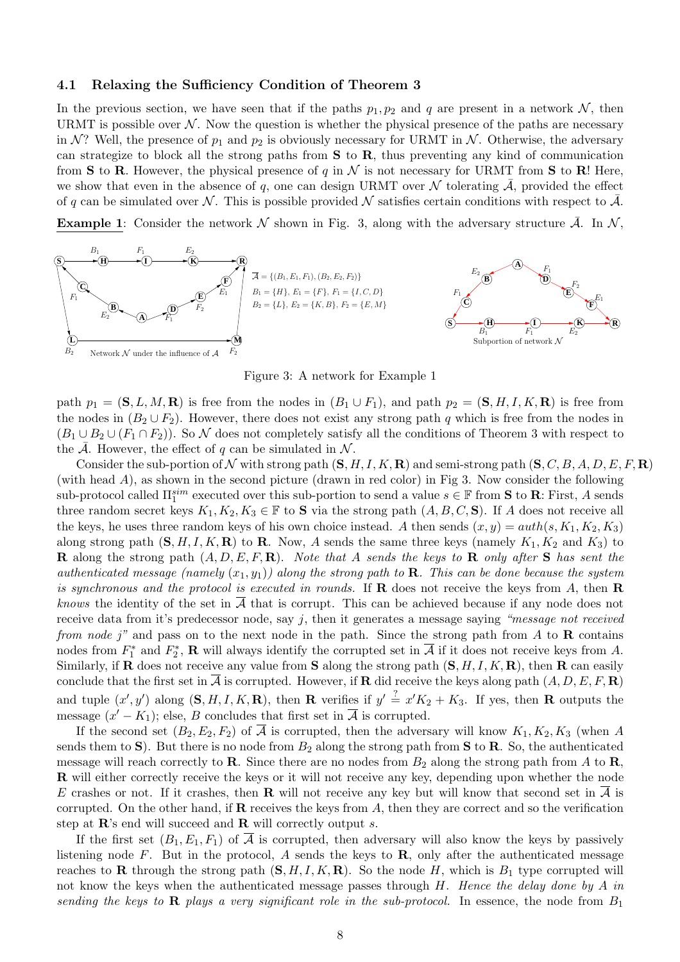#### 4.1 Relaxing the Sufficiency Condition of Theorem 3

In the previous section, we have seen that if the paths  $p_1, p_2$  and q are present in a network N, then URMT is possible over  $N$ . Now the question is whether the physical presence of the paths are necessary in N? Well, the presence of  $p_1$  and  $p_2$  is obviously necessary for URMT in N. Otherwise, the adversary can strategize to block all the strong paths from  $S$  to  $R$ , thus preventing any kind of communication from **S** to **R**. However, the physical presence of q in  $\mathcal N$  is not necessary for URMT from **S** to **R**! Here, we show that even in the absence of q, one can design URMT over  $\mathcal N$  tolerating  $\overline{\mathcal A}$ , provided the effect of q can be simulated over N. This is possible provided N satisfies certain conditions with respect to  $\bar{\mathcal{A}}$ .

**Example 1:** Consider the network N shown in Fig. 3, along with the adversary structure  $\overline{A}$ . In N,



Figure 3: A network for Example 1

path  $p_1 = (\mathbf{S}, L, M, \mathbf{R})$  is free from the nodes in  $(B_1 \cup F_1)$ , and path  $p_2 = (\mathbf{S}, H, I, K, \mathbf{R})$  is free from the nodes in  $(B_2 \cup F_2)$ . However, there does not exist any strong path q which is free from the nodes in  $(B_1 \cup B_2 \cup (F_1 \cap F_2))$ . So N does not completely satisfy all the conditions of Theorem 3 with respect to the  $\overline{\mathcal{A}}$ . However, the effect of q can be simulated in  $\mathcal{N}$ .

Consider the sub-portion of N with strong path  $(S, H, I, K, \mathbf{R})$  and semi-strong path  $(S, C, B, A, D, E, F, \mathbf{R})$ (with head A), as shown in the second picture (drawn in red color) in Fig 3. Now consider the following sub-protocol called  $\Pi_1^{sim}$  executed over this sub-portion to send a value  $s \in \mathbb{F}$  from **S** to **R**: First, A sends three random secret keys  $K_1, K_2, K_3 \in \mathbb{F}$  to **S** via the strong path  $(A, B, C, S)$ . If A does not receive all the keys, he uses three random keys of his own choice instead. A then sends  $(x, y) = \alphauth(s, K_1, K_2, K_3)$ along strong path  $(S, H, I, K, R)$  to R. Now, A sends the same three keys (namely  $K_1, K_2$  and  $K_3$ ) to **R** along the strong path  $(A, D, E, F, \mathbf{R})$ . Note that A sends the keys to **R** only after **S** has sent the authenticated message (namely  $(x_1, y_1)$ ) along the strong path to **R**. This can be done because the system is synchronous and the protocol is executed in rounds. If  $\bf{R}$  does not receive the keys from A, then  $\bf{R}$ *knows* the identity of the set in  $\overline{A}$  that is corrupt. This can be achieved because if any node does not receive data from it's predecessor node, say  $j$ , then it generates a message saying "message not received from node j" and pass on to the next node in the path. Since the strong path from A to R contains nodes from  $F_1^*$  and  $F_2^*$ , **R** will always identify the corrupted set in  $\overline{A}$  if it does not receive keys from A. Similarly, if **R** does not receive any value from **S** along the strong path  $(S, H, I, K, \mathbf{R})$ , then **R** can easily conclude that the first set in  $\overline{A}$  is corrupted. However, if **R** did receive the keys along path  $(A, D, E, F, \mathbf{R})$ and tuple  $(x', y')$  along  $(S, H, I, K, R)$ , then **R** verifies if  $y' \stackrel{?}{=} x'K_2 + K_3$ . If yes, then **R** outputs the message  $(x' - K_1)$ ; else, B concludes that first set in  $\overline{A}$  is corrupted.

If the second set  $(B_2, E_2, F_2)$  of  $\overline{A}$  is corrupted, then the adversary will know  $K_1, K_2, K_3$  (when A sends them to S). But there is no node from  $B_2$  along the strong path from S to R. So, the authenticated message will reach correctly to **R**. Since there are no nodes from  $B_2$  along the strong path from A to **R**, R will either correctly receive the keys or it will not receive any key, depending upon whether the node E crashes or not. If it crashes, then **R** will not receive any key but will know that second set in  $\overline{A}$  is corrupted. On the other hand, if  $\bf{R}$  receives the keys from A, then they are correct and so the verification step at  $\mathbb{R}$ 's end will succeed and  $\mathbb{R}$  will correctly output s.

If the first set  $(B_1, E_1, F_1)$  of  $\overline{A}$  is corrupted, then adversary will also know the keys by passively listening node F. But in the protocol, A sends the keys to  $\bf{R}$ , only after the authenticated message reaches to **R** through the strong path  $(S, H, I, K, \mathbf{R})$ . So the node H, which is  $B_1$  type corrupted will not know the keys when the authenticated message passes through  $H$ . Hence the delay done by  $A$  in sending the keys to  $\bf{R}$  plays a very significant role in the sub-protocol. In essence, the node from  $B_1$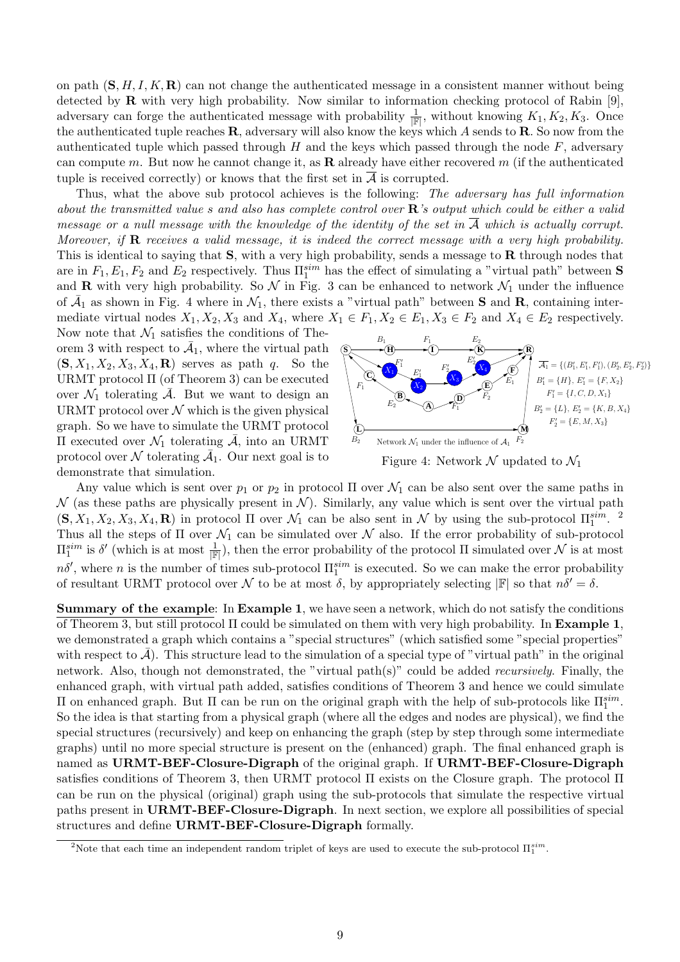on path  $(S, H, I, K, R)$  can not change the authenticated message in a consistent manner without being detected by  $\bf R$  with very high probability. Now similar to information checking protocol of Rabin [9], adversary can forge the authenticated message with probability  $\frac{1}{\mathbb{F}}$ , without knowing  $K_1, K_2, K_3$ . Once the authenticated tuple reaches  $\bf{R}$ , adversary will also know the keys which A sends to  $\bf{R}$ . So now from the authenticated tuple which passed through H and the keys which passed through the node  $F$ , adversary can compute m. But now he cannot change it, as **R** already have either recovered m (if the authenticated tuple is received correctly) or knows that the first set in  $\overline{A}$  is corrupted.

Thus, what the above sub protocol achieves is the following: The adversary has full information about the transmitted value s and also has complete control over  $\mathbb{R}$ 's output which could be either a valid message or a null message with the knowledge of the identity of the set in  $\overline{A}$  which is actually corrupt. Moreover, if  $\bf{R}$  receives a valid message, it is indeed the correct message with a very high probability. This is identical to saying that  $S$ , with a very high probability, sends a message to  $R$  through nodes that are in  $F_1, E_1, F_2$  and  $E_2$  respectively. Thus  $\Pi_1^{sim}$  has the effect of simulating a "virtual path" between **S** and **R** with very high probability. So  $\mathcal{N}$  in Fig. 3 can be enhanced to network  $\mathcal{N}_1$  under the influence of  $\bar{A}_1$  as shown in Fig. 4 where in  $\mathcal{N}_1$ , there exists a "virtual path" between **S** and **R**, containing intermediate virtual nodes  $X_1, X_2, X_3$  and  $X_4$ , where  $X_1 \in F_1, X_2 \in E_1, X_3 \in F_2$  and  $X_4 \in E_2$  respectively.

Now note that  $\mathcal{N}_1$  satisfies the conditions of Theorem 3 with respect to  $\overline{A}_1$ , where the virtual path  $(\mathbf{S}, X_1, X_2, X_3, X_4, \mathbf{R})$  serves as path q. So the URMT protocol Π (of Theorem 3) can be executed over  $\mathcal{N}_1$  tolerating  $\overline{\mathcal{A}}$ . But we want to design an URMT protocol over  $N$  which is the given physical graph. So we have to simulate the URMT protocol Π executed over  $\mathcal{N}_1$  tolerating  $\mathcal{A}$ , into an URMT protocol over  $N$  tolerating  $\overline{A}_1$ . Our next goal is to demonstrate that simulation.



Any value which is sent over  $p_1$  or  $p_2$  in protocol  $\Pi$  over  $\mathcal{N}_1$  can be also sent over the same paths in  $\mathcal N$  (as these paths are physically present in  $\mathcal N$ ). Similarly, any value which is sent over the virtual path  $(S, X_1, X_2, X_3, X_4, \mathbf{R})$  in protocol  $\Pi$  over  $\mathcal{N}_1$  can be also sent in  $\mathcal N$  by using the sub-protocol  $\Pi_1^{sim}$ . <sup>2</sup> Thus all the steps of  $\Pi$  over  $\mathcal{N}_1$  can be simulated over  $\mathcal N$  also. If the error probability of sub-protocol  $\Pi_1^{sim}$  is  $\delta'$  (which is at most  $\frac{1}{\mathbb{F}}$ ), then the error probability of the protocol  $\Pi$  simulated over  $\mathcal N$  is at most  $n\delta'$ , where n is the number of times sub-protocol  $\Pi_1^{sim}$  is executed. So we can make the error probability of resultant URMT protocol over N to be at most  $\delta$ , by appropriately selecting  $\mathbb{F}$  so that  $n\delta' = \delta$ .

Summary of the example: In Example 1, we have seen a network, which do not satisfy the conditions of Theorem 3, but still protocol Π could be simulated on them with very high probability. In Example 1, we demonstrated a graph which contains a "special structures" (which satisfied some "special properties" with respect to  $\bar{\mathcal{A}}$ ). This structure lead to the simulation of a special type of "virtual path" in the original network. Also, though not demonstrated, the "virtual path(s)" could be added recursively. Finally, the enhanced graph, with virtual path added, satisfies conditions of Theorem 3 and hence we could simulate II on enhanced graph. But II can be run on the original graph with the help of sub-protocols like  $\Pi_1^{sim}$ . So the idea is that starting from a physical graph (where all the edges and nodes are physical), we find the special structures (recursively) and keep on enhancing the graph (step by step through some intermediate graphs) until no more special structure is present on the (enhanced) graph. The final enhanced graph is named as URMT-BEF-Closure-Digraph of the original graph. If URMT-BEF-Closure-Digraph satisfies conditions of Theorem 3, then URMT protocol Π exists on the Closure graph. The protocol Π can be run on the physical (original) graph using the sub-protocols that simulate the respective virtual paths present in URMT-BEF-Closure-Digraph. In next section, we explore all possibilities of special structures and define URMT-BEF-Closure-Digraph formally.

<sup>&</sup>lt;sup>2</sup>Note that each time an independent random triplet of keys are used to execute the sub-protocol  $\Pi_1^{sim}$ .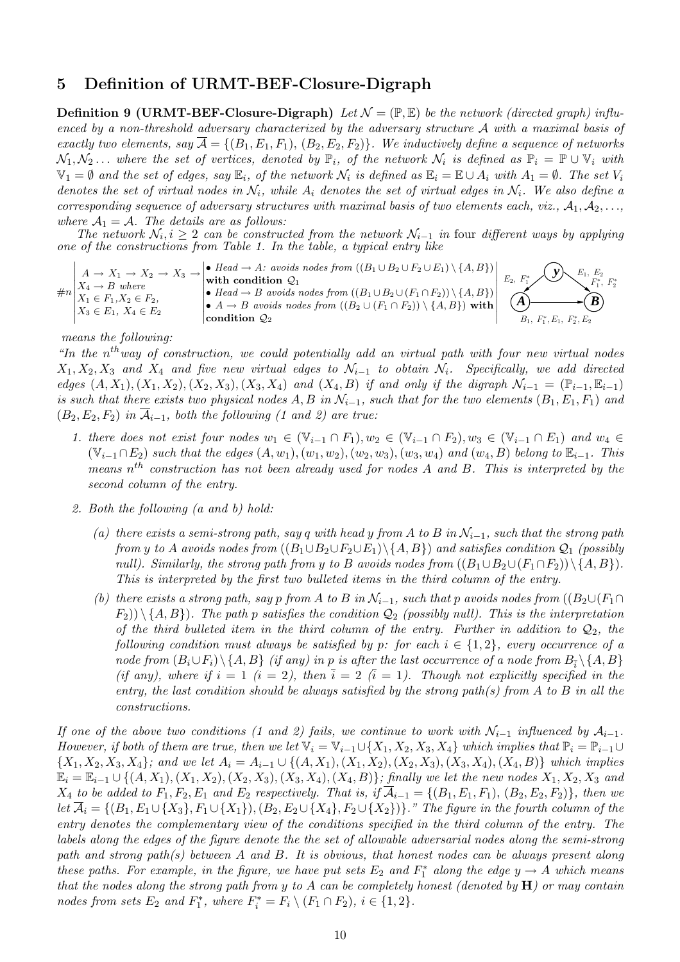### 5 Definition of URMT-BEF-Closure-Digraph

**Definition 9 (URMT-BEF-Closure-Digraph)** Let  $\mathcal{N} = (\mathbb{P}, \mathbb{E})$  be the network (directed graph) influenced by a non-threshold adversary characterized by the adversary structure A with a maximal basis of exactly two elements, say  $\overline{\mathcal{A}} = \{(B_1, E_1, F_1), (B_2, E_2, F_2)\}\.$  We inductively define a sequence of networks  $\mathcal{N}_1, \mathcal{N}_2 \dots$  where the set of vertices, denoted by  $\mathbb{P}_i$ , of the network  $\mathcal{N}_i$  is defined as  $\mathbb{P}_i = \mathbb{P} \cup \mathbb{V}_i$  with  $\mathbb{V}_1 = \emptyset$  and the set of edges, say  $\mathbb{E}_i$ , of the network  $\mathcal{N}_i$  is defined as  $\mathbb{E}_i = \mathbb{E} \cup A_i$  with  $A_1 = \emptyset$ . The set  $V_i$ denotes the set of virtual nodes in  $\mathcal{N}_i$ , while  $A_i$  denotes the set of virtual edges in  $\mathcal{N}_i$ . We also define a corresponding sequence of adversary structures with maximal basis of two elements each, viz.,  $A_1, A_2, \ldots$ where  $A_1 = A$ . The details are as follows:

The network  $\mathcal{N}_i, i \geq 2$  can be constructed from the network  $\mathcal{N}_{i-1}$  in four different ways by applying one of the constructions from Table 1. In the table, a typical entry like

$$
\#n\begin{bmatrix} A \rightarrow X_1 \rightarrow X_2 \rightarrow X_3 \rightarrow \text{width condition } Q_1 \\ X_4 \rightarrow B \text{ where} \\ X_1 \in F_1, X_2 \in F_2, \\ X_3 \in E_1, X_4 \in E_2 \end{bmatrix} \begin{bmatrix} Head \rightarrow A: avoids nodes from ((B_1 \cup B_2 \cup F_2 \cup E_1) \setminus \{A, B\}) \\ \text{with condition } Q_1 \\ \bullet Head \rightarrow B \text{ avoids nodes from } ((B_1 \cup B_2 \cup (F_1 \cap F_2)) \setminus \{A, B\}) \\ \text{condition } Q_2 \end{bmatrix} \begin{bmatrix} E_1, E_2 \\ E_2, F_1^* \end{bmatrix} \begin{bmatrix} E_1, E_2 \\ F_1^*, F_2^* \end{bmatrix}
$$

#### means the following:

"In the  $n^{th}$  way of construction, we could potentially add an virtual path with four new virtual nodes  $X_1, X_2, X_3$  and  $X_4$  and five new virtual edges to  $\mathcal{N}_{i-1}$  to obtain  $\mathcal{N}_i$ . Specifically, we add directed edges  $(A, X_1), (X_1, X_2), (X_2, X_3), (X_3, X_4)$  and  $(X_4, B)$  if and only if the digraph  $\mathcal{N}_{i-1} = (\mathbb{P}_{i-1}, \mathbb{E}_{i-1})$ is such that there exists two physical nodes A, B in  $\mathcal{N}_{i-1}$ , such that for the two elements  $(B_1, E_1, F_1)$  and  $(B_2, E_2, F_2)$  in  $\overline{\mathcal{A}}_{i-1}$ , both the following (1 and 2) are true:

- 1. there does not exist four nodes  $w_1 \in (\mathbb{V}_{i-1} \cap F_1), w_2 \in (\mathbb{V}_{i-1} \cap F_2), w_3 \in (\mathbb{V}_{i-1} \cap E_1)$  and  $w_4 \in$  $(\mathbb{V}_{i-1} \cap E_2)$  such that the edges  $(A, w_1), (w_1, w_2), (w_2, w_3), (w_3, w_4)$  and  $(w_4, B)$  belong to  $\mathbb{E}_{i-1}$ . This means  $n^{th}$  construction has not been already used for nodes A and B. This is interpreted by the second column of the entry.
- 2. Both the following (a and b) hold:
	- (a) there exists a semi-strong path, say q with head y from A to B in  $\mathcal{N}_{i-1}$ , such that the strong path from y to A avoids nodes from  $((B_1 \cup B_2 \cup F_2 \cup E_1) \setminus \{A, B\})$  and satisfies condition  $\mathcal{Q}_1$  (possibly null). Similarly, the strong path from y to B avoids nodes from  $((B_1 \cup B_2 \cup (F_1 \cap F_2))\setminus\{A, B\})$ . This is interpreted by the first two bulleted items in the third column of the entry.
	- (b) there exists a strong path, say p from A to B in  $\mathcal{N}_{i-1}$ , such that p avoids nodes from  $((B_2 \cup (F_1 \cap$  $(F_2)$ )  $\{A, B\}$ ). The path p satisfies the condition  $\mathcal{Q}_2$  (possibly null). This is the interpretation of the third bulleted item in the third column of the entry. Further in addition to  $\mathcal{Q}_2$ , the following condition must always be satisfied by p: for each  $i \in \{1,2\}$ , every occurrence of a node from  $(B_i \cup F_i) \setminus \{A, B\}$  (if any) in p is after the last occurrence of a node from  $B_{\overline{i}} \setminus \{A, B\}$ (if any), where if  $i = 1$   $(i = 2)$ , then  $\overline{i} = 2$   $(\overline{i} = 1)$ . Though not explicitly specified in the entry, the last condition should be always satisfied by the strong path(s) from A to B in all the constructions.

If one of the above two conditions (1 and 2) fails, we continue to work with  $\mathcal{N}_{i-1}$  influenced by  $\mathcal{A}_{i-1}$ . However, if both of them are true, then we let  $\mathbb{V}_i = \mathbb{V}_{i-1} \cup \{X_1, X_2, X_3, X_4\}$  which implies that  $\mathbb{P}_i = \mathbb{P}_{i-1} \cup$  $\{X_1, X_2, X_3, X_4\}$ ; and we let  $A_i = A_{i-1} \cup \{(A, X_1), (X_1, X_2), (X_2, X_3), (X_3, X_4), (X_4, B)\}\$  which implies  $\mathbb{E}_i = \mathbb{E}_{i-1} \cup \{(A, X_1), (X_1, X_2), (X_2, X_3), (X_3, X_4), (X_4, B)\}$ ; finally we let the new nodes  $X_1, X_2, X_3$  and  $X_4$  to be added to  $F_1, F_2, E_1$  and  $E_2$  respectively. That is, if  $\overline{A}_{i-1} = \{(B_1, E_1, F_1), (B_2, E_2, F_2)\}$ , then we let  $\overline{\mathcal{A}}_i = \{(B_1, E_1 \cup \{X_3\}, F_1 \cup \{X_1\}), (B_2, E_2 \cup \{X_4\}, F_2 \cup \{X_2\})\}$ ." The figure in the fourth column of the entry denotes the complementary view of the conditions specified in the third column of the entry. The labels along the edges of the figure denote the the set of allowable adversarial nodes along the semi-strong path and strong path(s) between A and B. It is obvious, that honest nodes can be always present along these paths. For example, in the figure, we have put sets  $E_2$  and  $F_1^*$  along the edge  $y \to A$  which means that the nodes along the strong path from y to A can be completely honest (denoted by  $H$ ) or may contain nodes from sets  $E_2$  and  $F_1^*$ , where  $F_i^* = F_i \setminus (F_1 \cap F_2)$ ,  $i \in \{1, 2\}$ .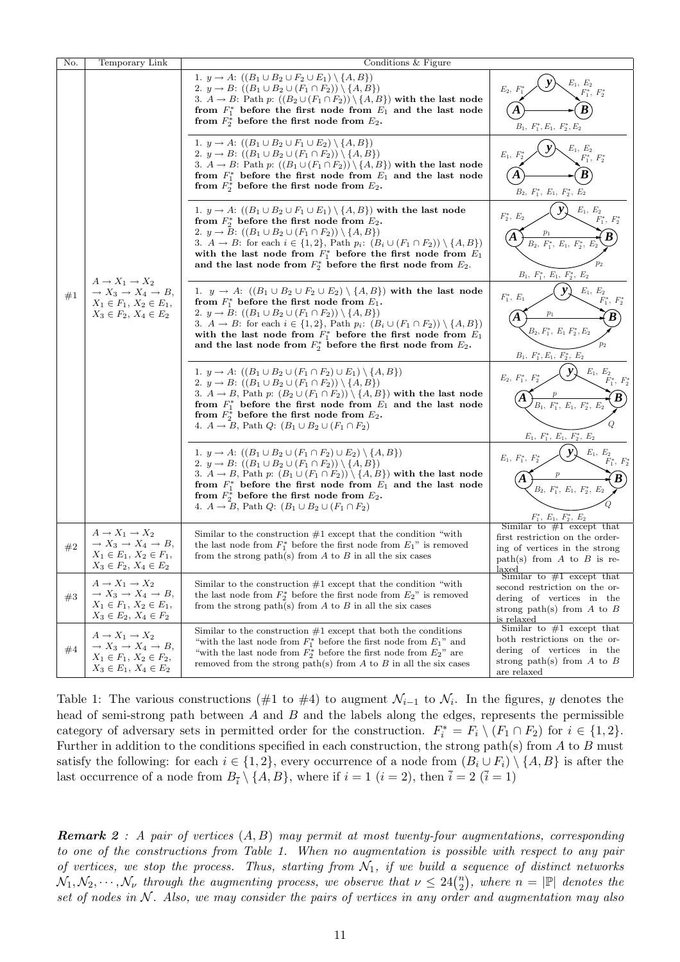| No.   | Temporary Link                                                                                                                                       | Conditions & Figure                                                                                                                                                                                                                                                                                                                                                                                                                                                                                                      |                                                                                                                                                     |
|-------|------------------------------------------------------------------------------------------------------------------------------------------------------|--------------------------------------------------------------------------------------------------------------------------------------------------------------------------------------------------------------------------------------------------------------------------------------------------------------------------------------------------------------------------------------------------------------------------------------------------------------------------------------------------------------------------|-----------------------------------------------------------------------------------------------------------------------------------------------------|
| #1    | $A \rightarrow X_1 \rightarrow X_2$<br>$\rightarrow X_3 \rightarrow X_4 \rightarrow B,$<br>$X_1 \in F_1, X_2 \in E_1,$<br>$X_3 \in F_2, X_4 \in E_2$ | 1. $y \to A: ((B_1 \cup B_2 \cup F_2 \cup E_1) \setminus \{A, B\})$<br>2. $y \to B: ((B_1 \cup B_2 \cup (F_1 \cap F_2)) \setminus \{A, B\})$<br>3. $A \rightarrow B$ : Path p: $((B_2 \cup (F_1 \cap F_2)) \setminus \{A, B\})$ with the last node<br>from $F_1^*$ before the first node from $E_1$ and the last node<br>from $F_2^*$ before the first node from $E_2$ .<br>1. $y \to A: ((B_1 \cup B_2 \cup F_1 \cup E_2) \setminus \{A, B\})$<br>2. $y \to B: ((B_1 \cup B_2 \cup (F_1 \cap F_2)) \setminus \{A, B\})$ | $E_1, E_2$<br>$E_2$ , $\boldsymbol{I}$<br>$F_1^\ast,\ F_2^\ast$<br>B<br>$B_1,\ F_1^*, E_1,\ F_2^*, E_2$<br>$E_1, E_2$<br>$E_1, F$<br>$F_1^*, F_2^*$ |
|       |                                                                                                                                                      | 3. $A \rightarrow B$ : Path p: $((B_1 \cup (F_1 \cap F_2)) \setminus \{A, B\})$ with the last node<br>from $F_1^*$ before the first node from $E_1$ and the last node<br>from $F_2^*$ before the first node from $E_2$ .                                                                                                                                                                                                                                                                                                 | B<br>$B_2, F_1^*, E_1, F_2^*, E_2$                                                                                                                  |
|       |                                                                                                                                                      | 1. $y \rightarrow A$ : $((B_1 \cup B_2 \cup F_1 \cup E_1) \setminus \{A, B\})$ with the last node<br>from $F_2^*$ before the first node from $E_2$ .<br>2. $y \to B$ : $((B_1 \cup B_2 \cup (F_1 \cap F_2)) \setminus \{A, B\})$<br>3. $A \to B$ : for each $i \in \{1,2\}$ , Path $p_i$ : $(B_i \cup (F_1 \cap F_2)) \setminus \{A, B\})$<br>with the last node from $F_1^*$ before the first node from $E_1$<br>and the last node from $F_2^*$ before the first node from $E_2$ .                                      | $\mathcal{E}_1,\ \mathcal{E}_2$<br>$F_2^*, E_2$<br>$F_1^*, F_2^*$<br>A<br>$B_2, F_1^*, E_1, F_2^*,$<br>$p_2$<br>$B_1, F_1^*, E_1, F_2^*, E_2$       |
|       |                                                                                                                                                      | 1. $y \rightarrow A$ : $((B_1 \cup B_2 \cup F_2 \cup E_2) \setminus \{A, B\})$ with the last node<br>from $F_1^*$ before the first node from $E_1$ .<br>2. $y \to B$ : $((B_1 \cup B_2 \cup (F_1 \cap F_2)) \setminus \{A, B\})$<br>3. $A \to B$ : for each $i \in \{1,2\}$ , Path $p_i$ : $(B_i \cup (F_1 \cap F_2)) \setminus \{A, B\})$<br>with the last node from $F_1^*$ before the first node from $E_1$<br>and the last node from $F_2^*$ before the first node from $E_2$ .                                      | $E_1, E_2$<br>$F_1^*, E_1$<br>$F_1^*,\;F_2^*$<br>A<br>$B_2, F_1^*, E_1 F_2^*, E_2$<br>$B_1, F_1^*, E_1, F_2^*, E_2$                                 |
|       |                                                                                                                                                      | 1. $y \to A$ : $((B_1 \cup B_2 \cup (F_1 \cap F_2) \cup E_1) \setminus \{A, B\})$<br>2. $y \to B$ : $((B_1 \cup B_2 \cup (F_1 \cap F_2)) \setminus \{A, B\})$<br>3. $A \rightarrow B$ , Path p: $(B_2 \cup (F_1 \cap F_2)) \setminus \{A, B\}$ with the last node<br>from $F_1^*$ before the first node from $E_1$ and the last node<br>from $F_2^*$ before the first node from $E_2$ .<br>4. $A \rightarrow B$ , Path Q: $(B_1 \cup B_2 \cup (F_1 \cap F_2))$                                                           | $E_1, E_2$<br>$F_1^*, F_2^*$<br>$E_2, F_1^*, F_2^*$<br>$E_1, F_1^*, E_1, F_2^*, E_2$                                                                |
|       |                                                                                                                                                      | 1. $y \to A: ((B_1 \cup B_2 \cup (F_1 \cap F_2) \cup E_2) \setminus \{A, B\})$<br>2. $y \to B$ : $((B_1 \cup B_2 \cup (F_1 \cap F_2)) \setminus \{A, B\})$<br>3. $A \rightarrow B$ , Path p: $(B_1 \cup (F_1 \cap F_2)) \setminus \{A, B\})$ with the last node<br>from $F_1^*$ before the first node from $E_1$ and the last node<br>from $F_2^*$ before the first node from $E_2$ .<br>4. $A \rightarrow B$ , Path Q: $(B_1 \cup B_2 \cup (F_1 \cap F_2))$                                                             | $E_1, E_2$<br>$F_1^*, F_2^*$<br>$E_1, F_1^*, F_2^*$<br>$B_2, F_1^*, E_1, F_2^*, E$<br>$F_1^*, E_1, F_2^*, E_2$                                      |
| $\#2$ | $A \rightarrow X_1 \rightarrow X_2$<br>$\rightarrow X_3 \rightarrow X_4 \rightarrow B,$<br>$X_1 \in E_1, X_2 \in F_1,$<br>$X_3 \in F_2, X_4 \in E_2$ | Similar to the construction $#1$ except that the condition "with"<br>the last node from $F_1^*$ before the first node from $E_1$ " is removed<br>from the strong path(s) from $A$ to $B$ in all the six cases                                                                                                                                                                                                                                                                                                            | Similar to $#1$ except that<br>first restriction on the order-<br>ing of vertices in the strong<br>path(s) from A to B is re-<br>الممعما            |
| #3    | $A \rightarrow X_1 \rightarrow X_2$<br>$\rightarrow X_3 \rightarrow X_4 \rightarrow B,$<br>$X_1 \in F_1, X_2 \in E_1,$<br>$X_3 \in E_2, X_4 \in F_2$ | Similar to the construction $#1$ except that the condition "with"<br>the last node from $F_2^*$ before the first node from $E_2$ " is removed<br>from the strong path(s) from $A$ to $B$ in all the six cases                                                                                                                                                                                                                                                                                                            | Similar to $#1$ except that<br>second restriction on the or-<br>dering of vertices in the<br>strong path(s) from $A$ to $B$<br>is relaxed           |
| $\#4$ | $A \rightarrow X_1 \rightarrow X_2$<br>$\rightarrow X_3 \rightarrow X_4 \rightarrow B,$<br>$X_1 \in F_1, X_2 \in F_2,$<br>$X_3 \in E_1, X_4 \in E_2$ | Similar to the construction $#1$ except that both the conditions<br>"with the last node from $F_1^*$ before the first node from $E_1$ " and<br>"with the last node from $F_2^*$ before the first node from $E_2$ " are<br>removed from the strong path(s) from $A$ to $B$ in all the six cases                                                                                                                                                                                                                           | Similar to $#1$ except that<br>both restrictions on the or-<br>dering of vertices in the<br>strong path(s) from $A$ to $B$<br>are relaxed           |

Table 1: The various constructions (#1 to #4) to augment  $\mathcal{N}_{i-1}$  to  $\mathcal{N}_i$ . In the figures, y denotes the head of semi-strong path between  $A$  and  $B$  and the labels along the edges, represents the permissible category of adversary sets in permitted order for the construction.  $F_i^* = F_i \setminus (F_1 \cap F_2)$  for  $i \in \{1, 2\}$ . Further in addition to the conditions specified in each construction, the strong path(s) from  $A$  to  $B$  must satisfy the following: for each  $i \in \{1,2\}$ , every occurrence of a node from  $(B_i \cup F_i) \setminus \{A, B\}$  is after the last occurrence of a node from  $B_{\bar{i}} \setminus \{A, B\}$ , where if  $i = 1$   $(i = 2)$ , then  $\bar{i} = 2$   $(\bar{i} = 1)$ 

**Remark 2**: A pair of vertices  $(A, B)$  may permit at most twenty-four augmentations, corresponding to one of the constructions from Table 1. When no augmentation is possible with respect to any pair of vertices, we stop the process. Thus, starting from  $\mathcal{N}_1$ , if we build a sequence of distinct networks by vertices, we stop the process. Thus, starting from  $N_1$ , if we build a :<br> $N_1, N_2, \cdots, N_\nu$  through the augmenting process, we observe that  $\nu \leq 24\binom{n}{2}$  $\binom{n}{2}$ , where  $n = |\mathbb{P}|$  denotes the set of nodes in  $N$ . Also, we may consider the pairs of vertices in any order and augmentation may also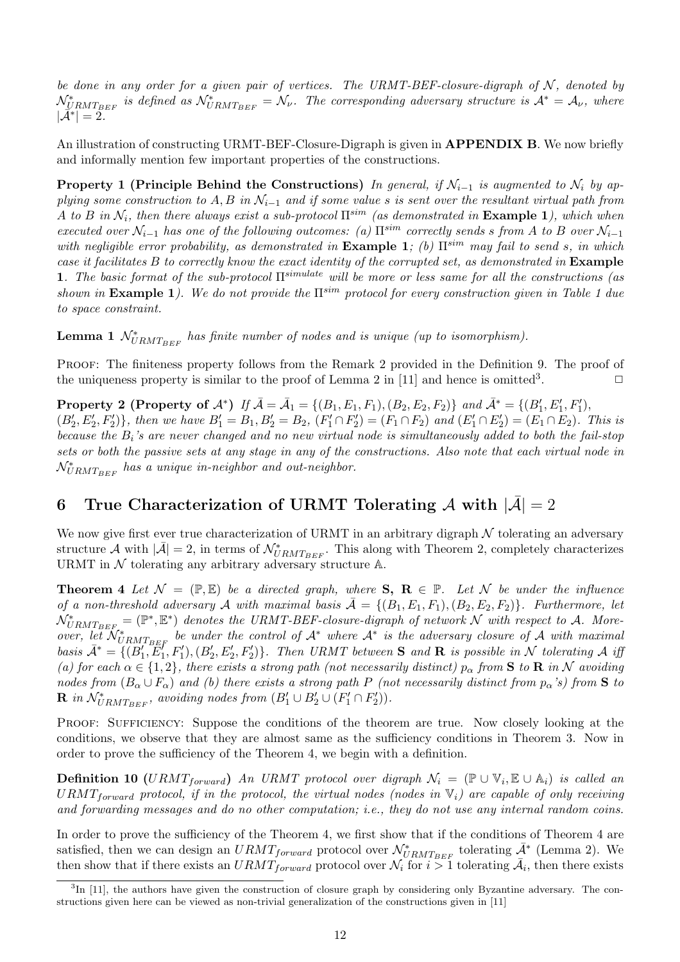be done in any order for a given pair of vertices. The URMT-BEF-closure-digraph of  $N$ , denoted by  $\mathcal{N}_{URMT_{BEF}}^*$  is defined as  $\mathcal{N}_{URMT_{BEF}}^* = \mathcal{N}_{\nu}$ . The corresponding adversary structure is  $\mathcal{A}^* = \mathcal{A}_{\nu}$ , where  $|\mathcal{\tilde{A}}^*| = 2.$ 

An illustration of constructing URMT-BEF-Closure-Digraph is given in **APPENDIX B**. We now briefly and informally mention few important properties of the constructions.

**Property 1 (Principle Behind the Constructions)** In general, if  $\mathcal{N}_{i-1}$  is augmented to  $\mathcal{N}_i$  by applying some construction to A, B in  $\mathcal{N}_{i-1}$  and if some value s is sent over the resultant virtual path from A to B in  $\mathcal{N}_i$ , then there always exist a sub-protocol  $\Pi^{sim}$  (as demonstrated in **Example 1**), which when executed over  $\mathcal{N}_{i-1}$  has one of the following outcomes: (a)  $\Pi^{sim}$  correctly sends s from A to B over  $\mathcal{N}_{i-1}$ with negligible error probability, as demonstrated in **Example 1**; (b)  $\Pi^{sim}$  may fail to send s, in which case it facilitates B to correctly know the exact identity of the corrupted set, as demonstrated in Example 1. The basic format of the sub-protocol  $\Pi^{simulate}$  will be more or less same for all the constructions (as shown in **Example 1**). We do not provide the  $\Pi^{sim}$  protocol for every construction given in Table 1 due to space constraint.

**Lemma 1**  $\mathcal{N}_{URMT_{BEF}}^*$  has finite number of nodes and is unique (up to isomorphism).

PROOF: The finiteness property follows from the Remark 2 provided in the Definition 9. The proof of the uniqueness property is similar to the proof of Lemma 2 in [11] and hence is omitted<sup>3</sup>. .  $\Box$ 

**Property 2 (Property of A\*)** If  $\bar{A} = \bar{A}_1 = \{(B_1, E_1, F_1), (B_2, E_2, F_2)\}$  and  $\bar{A}^* = \{(B'_1, E'_1, F'_1),$  $(B'_2, E'_2, F'_2)$ , then we have  $B'_1 = B_1, B'_2 = B_2$ ,  $(F'_1 \cap F'_2) = (F_1 \cap F_2)$  and  $(E'_1 \cap E'_2) = (E_1 \cap E_2)$ . This is because the  $B_i$ 's are never changed and no new virtual node is simultaneously added to both the fail-stop sets or both the passive sets at any stage in any of the constructions. Also note that each virtual node in  $\mathcal{N}_{URMT_{BEF}}^*$  has a unique in-neighbor and out-neighbor.

## 6 True Characterization of URMT Tolerating A with  $|\bar{\mathcal{A}}|=2$

We now give first ever true characterization of URMT in an arbitrary digraph  $N$  tolerating an adversary structure A with  $|\bar{\mathcal{A}}|=2$ , in terms of  $\mathcal{N}_{URMT_{BEF}}^*$ . This along with Theorem 2, completely characterizes URMT in  $\mathcal N$  tolerating any arbitrary adversary structure  $\mathbb A.$ 

**Theorem 4** Let  $\mathcal{N} = (\mathbb{P}, \mathbb{E})$  be a directed graph, where  $S$ ,  $R \in \mathbb{P}$ . Let N be under the influence of a non-threshold adversary A with maximal basis  $\bar{A} = \{(B_1, E_1, F_1), (B_2, E_2, F_2)\}\.$  Furthermore, let  $\mathcal{N}_{URMT_{BEF}}^{*} = (\mathbb{P}^*, \mathbb{E}^*)$  denotes the URMT-BEF-closure-digraph of network  $\mathcal{N}$  with respect to A. Moreover, let  $\mathcal{N}_{URMTBEF}^*$  be under the control of  $\mathcal{A}^*$  where  $\mathcal{A}^*$  is the adversary closure of  $\mathcal{A}$  with maximal basis  $\bar{\mathcal{A}}^* = \{ (B'_1, E'_1, F'_1), (B'_2, E'_2, F'_2) \}$ . Then URMT between S and R is possible in N tolerating A iff (a) for each  $\alpha \in \{1,2\}$ , there exists a strong path (not necessarily distinct)  $p_{\alpha}$  from **S** to **R** in N avoiding nodes from  $(B_{\alpha} \cup F_{\alpha})$  and (b) there exists a strong path P (not necessarily distinct from  $p_{\alpha}$ 's) from S to **R** in  $\mathcal{N}_{URMT_{BEF}}^*$ , avoiding nodes from  $(B'_1 \cup B'_2 \cup (F'_1 \cap F'_2)).$ 

PROOF: SUFFICIENCY: Suppose the conditions of the theorem are true. Now closely looking at the conditions, we observe that they are almost same as the sufficiency conditions in Theorem 3. Now in order to prove the sufficiency of the Theorem 4, we begin with a definition.

**Definition 10** (URMT<sub>forward</sub>) An URMT protocol over digraph  $\mathcal{N}_i = (\mathbb{P} \cup \mathbb{V}_i, \mathbb{E} \cup \mathbb{A}_i)$  is called an  $URMT_{forward}$  protocol, if in the protocol, the virtual nodes (nodes in  $V_i$ ) are capable of only receiving and forwarding messages and do no other computation; i.e., they do not use any internal random coins.

In order to prove the sufficiency of the Theorem 4, we first show that if the conditions of Theorem 4 are satisfied, then we can design an  $URMT_{forward}$  protocol over  $\mathcal{N}_{URMT_{BEF}}^*$  tolerating  $\bar{\mathcal{A}}^*$  (Lemma 2). We then show that if there exists an  $URMT_{forward}$  protocol over  $\mathcal{N}_i$  for  $i > 1$  tolerating  $\bar{\mathcal{A}}_i$ , then there exists

<sup>&</sup>lt;sup>3</sup>In [11], the authors have given the construction of closure graph by considering only Byzantine adversary. The constructions given here can be viewed as non-trivial generalization of the constructions given in [11]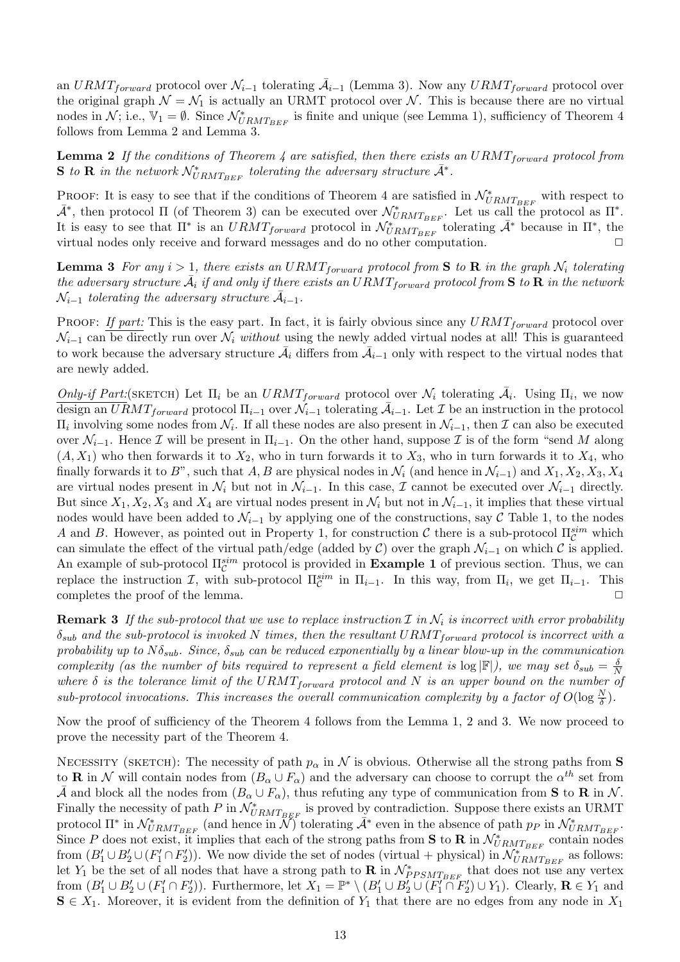an  $URMT_{forward}$  protocol over  $\mathcal{N}_{i-1}$  tolerating  $\overline{\mathcal{A}}_{i-1}$  (Lemma 3). Now any  $URMT_{forward}$  protocol over the original graph  $\mathcal{N} = \mathcal{N}_1$  is actually an URMT protocol over  $\mathcal{N}$ . This is because there are no virtual nodes in  $\mathcal{N}$ ; i.e.,  $\mathbb{V}_1 = \emptyset$ . Since  $\mathcal{N}_{URMT_{BEF}}^*$  is finite and unique (see Lemma 1), sufficiency of Theorem 4 follows from Lemma 2 and Lemma 3.

**Lemma 2** If the conditions of Theorem 4 are satisfied, then there exists an URMT<sub>forward</sub> protocol from S to R in the network  $\mathcal{N}^*_{URMT_{BEF}}$  tolerating the adversary structure  $\bar{\mathcal{A}}^*$ .

PROOF: It is easy to see that if the conditions of Theorem 4 are satisfied in  $\mathcal{N}^*_{URMT_{BEF}}$  with respect to  $\bar{\mathcal{A}}^*$ , then protocol  $\Pi$  (of Theorem 3) can be executed over  $\mathcal{N}_{URMT_{BEF}}^*$ . Let us call the protocol as  $\Pi^*$ . It is easy to see that  $\Pi^*$  is an  $URMT_{forward}$  protocol in  $\mathcal{N}_{URMT_{BEF}}^*$  tolerating  $\bar{\mathcal{A}}^*$  because in  $\Pi^*$ , the virtual nodes only receive and forward messages and do no other computation.  $\Box$ 

**Lemma 3** For any  $i > 1$ , there exists an URMT<sub>forward</sub> protocol from S to R in the graph  $\mathcal{N}_i$  tolerating the adversary structure  $\bar{\mathcal{A}}_i$  if and only if there exists an  $URMT_{forward}$  protocol from  $\bf S$  to  $\bf R$  in the network  $\mathcal{N}_{i-1}$  tolerating the adversary structure  $\bar{\mathcal{A}}_{i-1}$ .

PROOF: If part: This is the easy part. In fact, it is fairly obvious since any  $URMT_{forward}$  protocol over  $\mathcal{N}_{i-1}$  can be directly run over  $\mathcal{N}_i$  without using the newly added virtual nodes at all! This is guaranteed to work because the adversary structure  $\bar{\mathcal{A}}_i$  differs from  $\bar{\mathcal{A}}_{i-1}$  only with respect to the virtual nodes that are newly added.

Only-if Part:(SKETCH) Let  $\Pi_i$  be an  $URMT_{forward}$  protocol over  $\mathcal{N}_i$  tolerating  $\bar{\mathcal{A}}_i$ . Using  $\Pi_i$ , we now design an  $\overline{URMT}_{forward}$  protocol  $\Pi_{i-1}$  over  $\mathcal{N}_{i-1}$  tolerating  $\overline{\mathcal{A}}_{i-1}$ . Let  $\mathcal I$  be an instruction in the protocol  $\Pi_i$  involving some nodes from  $\mathcal{N}_i$ . If all these nodes are also present in  $\mathcal{N}_{i-1}$ , then  $\mathcal I$  can also be executed over  $\mathcal{N}_{i-1}$ . Hence  $\mathcal I$  will be present in  $\Pi_{i-1}$ . On the other hand, suppose  $\mathcal I$  is of the form "send M along  $(A, X_1)$  who then forwards it to  $X_2$ , who in turn forwards it to  $X_3$ , who in turn forwards it to  $X_4$ , who finally forwards it to B", such that A, B are physical nodes in  $\mathcal{N}_i$  (and hence in  $\mathcal{N}_{i-1}$ ) and  $X_1, X_2, X_3, X_4$ are virtual nodes present in  $\mathcal{N}_i$  but not in  $\mathcal{N}_{i-1}$ . In this case,  $\mathcal I$  cannot be executed over  $\mathcal{N}_{i-1}$  directly. But since  $X_1, X_2, X_3$  and  $X_4$  are virtual nodes present in  $\mathcal{N}_i$  but not in  $\mathcal{N}_{i-1}$ , it implies that these virtual nodes would have been added to  $\mathcal{N}_{i-1}$  by applying one of the constructions, say C Table 1, to the nodes A and B. However, as pointed out in Property 1, for construction C there is a sub-protocol  $\Pi_{\mathcal{C}}^{sim}$  which can simulate the effect of the virtual path/edge (added by C) over the graph  $\mathcal{N}_{i-1}$  on which C is applied. An example of sub-protocol  $\Pi_{\mathcal{C}}^{sim}$  protocol is provided in **Example 1** of previous section. Thus, we can replace the instruction I, with sub-protocol  $\Pi_{\mathcal{C}}^{sim}$  in  $\Pi_{i-1}$ . In this way, from  $\Pi_i$ , we get  $\Pi_{i-1}$ . This completes the proof of the lemma.  $\Box$ 

**Remark 3** If the sub-protocol that we use to replace instruction  $\mathcal{I}$  in  $\mathcal{N}_i$  is incorrect with error probability  $\delta_{sub}$  and the sub-protocol is invoked N times, then the resultant URMT<sub>f orward</sub> protocol is incorrect with a probability up to  $N\delta_{sub}$ . Since,  $\delta_{sub}$  can be reduced exponentially by a linear blow-up in the communication complexity (as the number of bits required to represent a field element is  $\log |\mathbb{F}|$ ), we may set  $\delta_{sub} = \frac{\delta}{\Delta}$ N where  $\delta$  is the tolerance limit of the URMT<sub>forward</sub> protocol and N is an upper bound on the number of sub-protocol invocations. This increases the overall communication complexity by a factor of  $O(\log \frac{N}{\delta})$ .

Now the proof of sufficiency of the Theorem 4 follows from the Lemma 1, 2 and 3. We now proceed to prove the necessity part of the Theorem 4.

NECESSITY (SKETCH): The necessity of path  $p_{\alpha}$  in N is obvious. Otherwise all the strong paths from S to **R** in N will contain nodes from  $(B_\alpha \cup F_\alpha)$  and the adversary can choose to corrupt the  $\alpha^{th}$  set from  $\bar{\mathcal{A}}$  and block all the nodes from  $(B_\alpha \cup F_\alpha)$ , thus refuting any type of communication from **S** to **R** in N. Finally the necessity of path  $P$  in  $\mathcal{N}_{URMT_{BEF}}^*$  is proved by contradiction. Suppose there exists an URMT protocol  $\Pi^*$  in  $\mathcal{N}_{URMT_{BEF}}^*$  (and hence in  $\mathcal{N}$ ) tolerating  $\bar{\mathcal{A}}^*$  even in the absence of path  $p_P$  in  $\mathcal{N}_{URMT_{BEF}}^*$ . Since P does not exist, it implies that each of the strong paths from S to R in  $\mathcal{N}^*_{URMT_{BEF}}$  contain nodes from  $(B'_1 \cup B'_2 \cup (F'_1 \cap F'_2))$ . We now divide the set of nodes (virtual + physical) in  $\mathcal{N}_{URMTEEF}^*$  as follows: let Y<sub>1</sub> be the set of all nodes that have a strong path to **R** in  $\mathcal{N}^*_{PPSMT_{BEF}}$  that does not use any vertex from  $(B'_1 \cup B'_2 \cup (F'_1 \cap F'_2))$ . Furthermore, let  $X_1 = \mathbb{P}^* \setminus (B'_1 \cup B'_2 \cup (F'_1 \cap F'_2) \cup Y_1)$ . Clearly,  $\mathbf{R} \in Y_1$  and  $S \in X_1$ . Moreover, it is evident from the definition of  $Y_1$  that there are no edges from any node in  $X_1$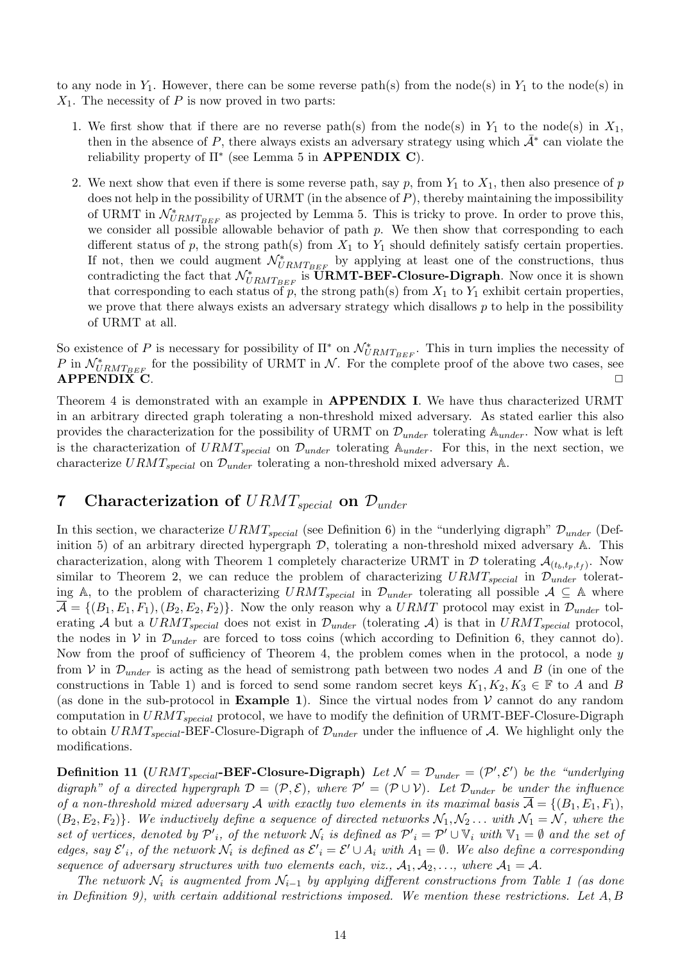to any node in  $Y_1$ . However, there can be some reverse path(s) from the node(s) in  $Y_1$  to the node(s) in  $X_1$ . The necessity of P is now proved in two parts:

- 1. We first show that if there are no reverse path(s) from the node(s) in  $Y_1$  to the node(s) in  $X_1$ , then in the absence of P, there always exists an adversary strategy using which  $\bar{\mathcal{A}}^*$  can violate the reliability property of  $\Pi^*$  (see Lemma 5 in **APPENDIX C**).
- 2. We next show that even if there is some reverse path, say p, from  $Y_1$  to  $X_1$ , then also presence of p does not help in the possibility of URMT (in the absence of  $P$ ), thereby maintaining the impossibility of URMT in  $\mathcal{N}_{URMT_{BEF}}^*$  as projected by Lemma 5. This is tricky to prove. In order to prove this, we consider all possible allowable behavior of path  $p$ . We then show that corresponding to each different status of p, the strong path(s) from  $X_1$  to  $Y_1$  should definitely satisfy certain properties. If not, then we could augment  $\mathcal{N}_{URMT_{BEF}}^*$  by applying at least one of the constructions, thus contradicting the fact that  $\mathcal{N}_{URMT_{BEF}}^*$  is **URMT-BEF-Closure-Digraph**. Now once it is shown that corresponding to each status of  $\overline{p}$ , the strong path(s) from  $X_1$  to  $Y_1$  exhibit certain properties, we prove that there always exists an adversary strategy which disallows  $p$  to help in the possibility of URMT at all.

So existence of P is necessary for possibility of  $\Pi^*$  on  $\mathcal{N}_{URMT_{BEF}}^*$ . This in turn implies the necessity of P in  $\mathcal{N}_{URMT_{BEF}}^*$  for the possibility of URMT in  $\mathcal{N}$ . For the complete proof of the above two cases, see  $APPENDIX$  C.  $\Box$ 

Theorem 4 is demonstrated with an example in **APPENDIX I**. We have thus characterized URMT in an arbitrary directed graph tolerating a non-threshold mixed adversary. As stated earlier this also provides the characterization for the possibility of URMT on  $\mathcal{D}_{under}$  tolerating  $\mathbb{A}_{under}$ . Now what is left is the characterization of  $URMT_{special}$  on  $\mathcal{D}_{under}$  tolerating  $\mathbb{A}_{under}$ . For this, in the next section, we characterize  $URMT_{special}$  on  $\mathcal{D}_{under}$  tolerating a non-threshold mixed adversary A.

## 7 Characterization of  $URMT_{special}$  on  $\mathcal{D}_{under}$

In this section, we characterize  $URMT_{special}$  (see Definition 6) in the "underlying digraph"  $\mathcal{D}_{under}$  (Definition 5) of an arbitrary directed hypergraph  $\mathcal{D}$ , tolerating a non-threshold mixed adversary  $\mathbb{A}$ . This characterization, along with Theorem 1 completely characterize URMT in  $D$  tolerating  $\mathcal{A}_{(t_b,t_p,t_f)}$ . Now similar to Theorem 2, we can reduce the problem of characterizing  $URMT_{special}$  in  $\mathcal{D}_{under}$  tolerating A, to the problem of characterizing  $URMT_{special}$  in  $\mathcal{D}_{under}$  tolerating all possible  $\mathcal{A} \subseteq \mathbb{A}$  where  $\overline{\mathcal{A}} = \{(B_1, E_1, F_1), (B_2, E_2, F_2)\}\.$  Now the only reason why a URMT protocol may exist in  $\mathcal{D}_{under}$  tolerating A but a  $URMT_{special}$  does not exist in  $\mathcal{D}_{under}$  (tolerating A) is that in  $URMT_{special}$  protocol, the nodes in V in  $\mathcal{D}_{under}$  are forced to toss coins (which according to Definition 6, they cannot do). Now from the proof of sufficiency of Theorem 4, the problem comes when in the protocol, a node  $y$ from V in  $\mathcal{D}_{under}$  is acting as the head of semistrong path between two nodes A and B (in one of the constructions in Table 1) and is forced to send some random secret keys  $K_1, K_2, K_3 \in \mathbb{F}$  to A and B (as done in the sub-protocol in **Example 1**). Since the virtual nodes from  $V$  cannot do any random computation in  $URMT_{special}$  protocol, we have to modify the definition of URMT-BEF-Closure-Digraph to obtain  $URMT_{special}$ -BEF-Closure-Digraph of  $\mathcal{D}_{under}$  under the influence of A. We highlight only the modifications.

**Definition 11** (URMT<sub>special</sub>-BEF-Closure-Digraph) Let  $\mathcal{N} = \mathcal{D}_{under} = (\mathcal{P}', \mathcal{E}')$  be the "underlying" digraph" of a directed hypergraph  $\mathcal{D} = (\mathcal{P}, \mathcal{E})$ , where  $\mathcal{P}' = (\mathcal{P} \cup \mathcal{V})$ . Let  $\mathcal{D}_{under}$  be under the influence of a non-threshold mixed adversary A with exactly two elements in its maximal basis  $\mathcal{A} = \{(B_1, E_1, F_1),\}$  $(B_2, E_2, F_2)$ . We inductively define a sequence of directed networks  $\mathcal{N}_1, \mathcal{N}_2 \dots$  with  $\mathcal{N}_1 = \mathcal{N}$ , where the set of vertices, denoted by  $\mathcal{P}'_i$ , of the network  $\mathcal{N}_i$  is defined as  $\mathcal{P}'_i = \mathcal{P}' \cup \mathbb{V}_i$  with  $\mathbb{V}_1 = \emptyset$  and the set of edges, say  $\mathcal{E}'_i$ , of the network  $\mathcal{N}_i$  is defined as  $\mathcal{E}'_i = \mathcal{E}' \cup A_i$  with  $A_1 = \emptyset$ . We also define a corresponding sequence of adversary structures with two elements each, viz.,  $A_1, A_2, \ldots$ , where  $A_1 = A$ .

The network  $\mathcal{N}_i$  is augmented from  $\mathcal{N}_{i-1}$  by applying different constructions from Table 1 (as done in Definition 9), with certain additional restrictions imposed. We mention these restrictions. Let A, B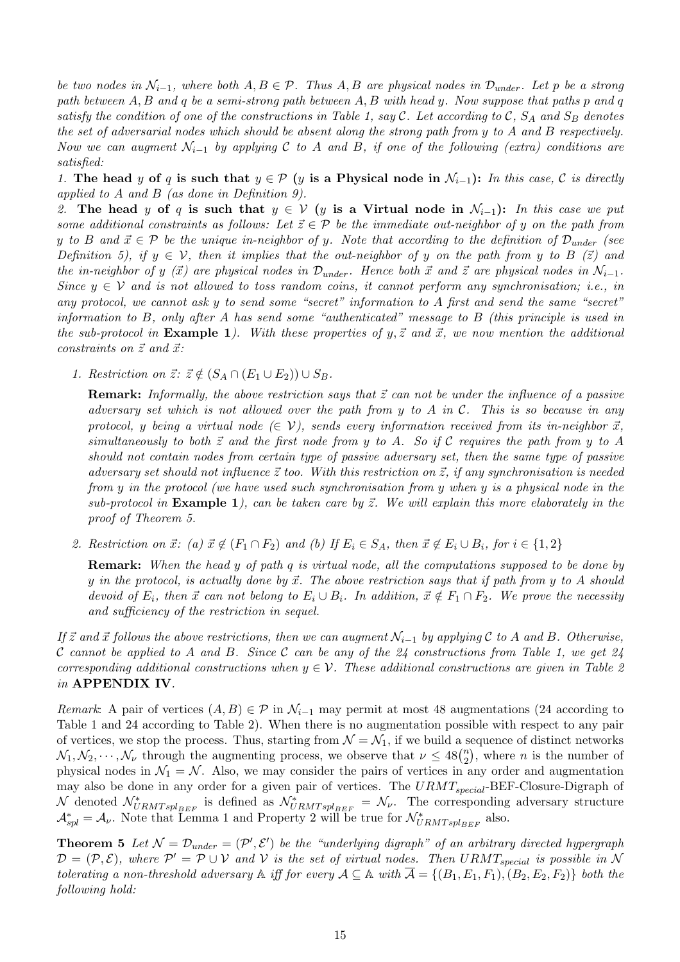be two nodes in  $\mathcal{N}_{i-1}$ , where both  $A, B \in \mathcal{P}$ . Thus  $A, B$  are physical nodes in  $\mathcal{D}_{under}$ . Let p be a strong path between  $A, B$  and q be a semi-strong path between  $A, B$  with head y. Now suppose that paths p and q satisfy the condition of one of the constructions in Table 1, say  $\mathcal C$ . Let according to  $\mathcal C$ ,  $S_A$  and  $S_B$  denotes the set of adversarial nodes which should be absent along the strong path from y to A and B respectively. Now we can augment  $\mathcal{N}_{i-1}$  by applying C to A and B, if one of the following (extra) conditions are satisfied:

1. The head y of q is such that  $y \in \mathcal{P}$  (y is a Physical node in  $\mathcal{N}_{i-1}$ ): In this case, C is directly applied to A and B (as done in Definition 9).

2. The head y of q is such that  $y \in V$  (y is a Virtual node in  $\mathcal{N}_{i-1}$ ): In this case we put some additional constraints as follows: Let  $\vec{z} \in \mathcal{P}$  be the immediate out-neighbor of y on the path from y to B and  $\vec{x} \in \mathcal{P}$  be the unique in-neighbor of y. Note that according to the definition of  $\mathcal{D}_{under}$  (see Definition 5), if  $y \in V$ , then it implies that the out-neighbor of y on the path from y to B ( $\vec{z}$ ) and the in-neighbor of y ( $\vec{x}$ ) are physical nodes in  $\mathcal{D}_{under}$ . Hence both  $\vec{x}$  and  $\vec{z}$  are physical nodes in  $\mathcal{N}_{i-1}$ . Since  $y \in V$  and is not allowed to toss random coins, it cannot perform any synchronisation; i.e., in any protocol, we cannot ask y to send some "secret" information to A first and send the same "secret" information to B, only after A has send some "authenticated" message to B (this principle is used in the sub-protocol in **Example 1**). With these properties of y,  $\vec{z}$  and  $\vec{x}$ , we now mention the additional constraints on  $\vec{z}$  and  $\vec{x}$ :

1. Restriction on  $\vec{z}$ :  $\vec{z} \notin (S_A \cap (E_1 \cup E_2)) \cup S_B$ .

**Remark:** Informally, the above restriction says that  $\vec{z}$  can not be under the influence of a passive adversary set which is not allowed over the path from y to A in C. This is so because in any protocol, y being a virtual node  $(\in \mathcal{V})$ , sends every information received from its in-neighbor  $\vec{x}$ , simultaneously to both  $\vec{z}$  and the first node from y to A. So if C requires the path from y to A should not contain nodes from certain type of passive adversary set, then the same type of passive adversary set should not influence  $\vec{z}$  too. With this restriction on  $\vec{z}$ , if any synchronisation is needed from y in the protocol (we have used such synchronisation from y when y is a physical node in the sub-protocol in **Example 1**), can be taken care by  $\vec{z}$ . We will explain this more elaborately in the proof of Theorem 5.

2. Restriction on  $\vec{x}$ : (a)  $\vec{x} \notin (F_1 \cap F_2)$  and (b) If  $E_i \in S_A$ , then  $\vec{x} \notin E_i \cup B_i$ , for  $i \in \{1,2\}$ 

**Remark:** When the head y of path q is virtual node, all the computations supposed to be done by y in the protocol, is actually done by  $\vec{x}$ . The above restriction says that if path from y to A should devoid of  $E_i$ , then  $\vec{x}$  can not belong to  $E_i \cup B_i$ . In addition,  $\vec{x} \notin F_1 \cap F_2$ . We prove the necessity and sufficiency of the restriction in sequel.

If  $\vec{z}$  and  $\vec{x}$  follows the above restrictions, then we can augment  $\mathcal{N}_{i-1}$  by applying C to A and B. Otherwise, C cannot be applied to A and B. Since C can be any of the 24 constructions from Table 1, we get 24 corresponding additional constructions when  $y \in V$ . These additional constructions are given in Table 2 in APPENDIX IV.

Remark: A pair of vertices  $(A, B) \in \mathcal{P}$  in  $\mathcal{N}_{i-1}$  may permit at most 48 augmentations (24 according to Table 1 and 24 according to Table 2). When there is no augmentation possible with respect to any pair of vertices, we stop the process. Thus, starting from  $\mathcal{N} = \mathcal{N}_1$ , if we build a sequence of distinct networks or vertices, we stop the process. Thus, starting from  $N = N_1$ , if we build a s<br> $N_1, N_2, \dots, N_{\nu}$  through the augmenting process, we observe that  $\nu \leq 48\binom{n}{2}$  $\binom{n}{2}$ , where *n* is the number of physical nodes in  $\mathcal{N}_1 = \mathcal{N}$ . Also, we may consider the pairs of vertices in any order and augmentation may also be done in any order for a given pair of vertices. The  $URMT_{special}$ -BEF-Closure-Digraph of N denoted  $\mathcal{N}_{URMTspl_{BEF}}^*$  is defined as  $\mathcal{N}_{URMTspl_{BEF}}^* = \mathcal{N}_{\nu}$ . The corresponding adversary structure  $\mathcal{A}_{spl}^* = \mathcal{A}_{\nu}$ . Note that Lemma 1 and Property 2 will be true for  $\mathcal{N}_{URMTspl_{BEF}}^*$  also.

**Theorem 5** Let  $\mathcal{N} = \mathcal{D}_{under} = (\mathcal{P}', \mathcal{E}')$  be the "underlying digraph" of an arbitrary directed hypergraph  $\mathcal{D} = (\mathcal{P}, \mathcal{E})$ , where  $\mathcal{P}' = \mathcal{P} \cup \mathcal{V}$  and  $\mathcal{V}$  is the set of virtual nodes. Then  $URMT_{special}$  is possible in N tolerating a non-threshold adversary  $\mathbb A$  iff for every  $\mathcal A \subseteq \mathbb A$  with  $\overline{\mathcal A} = \{(B_1, E_1, F_1), (B_2, E_2, F_2)\}\,$  both the following hold: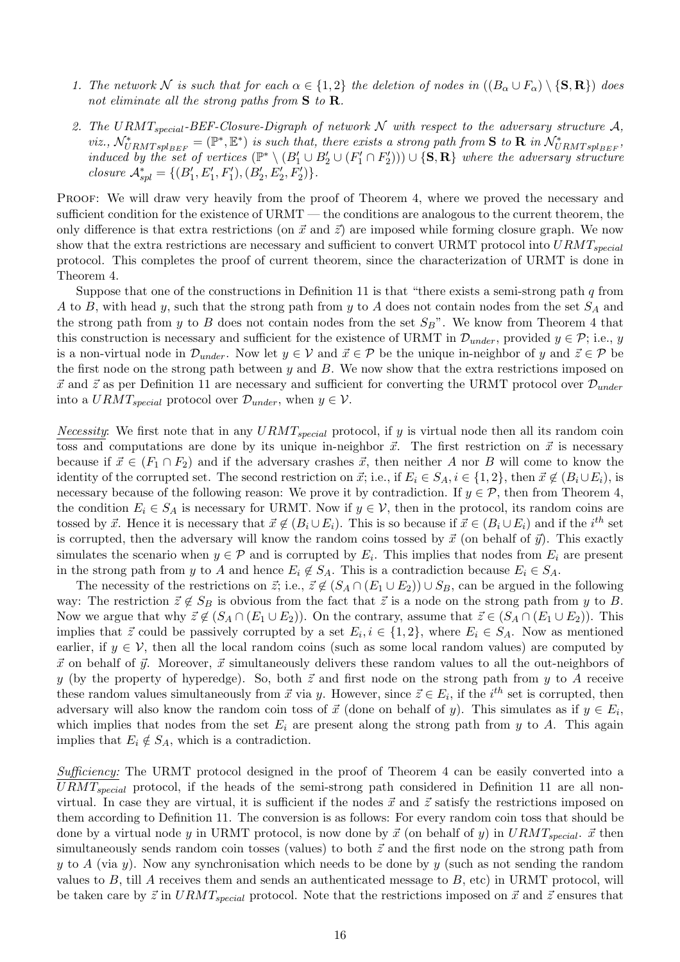- 1. The network N is such that for each  $\alpha \in \{1,2\}$  the deletion of nodes in  $((B_{\alpha} \cup F_{\alpha}) \setminus {\bf S}, {\bf R})$  does not eliminate all the strong paths from  $S$  to  $R$ .
- 2. The URMT<sub>special</sub>-BEF-Closure-Digraph of network  $N$  with respect to the adversary structure A, viz.,  $\mathcal{N}_{URMTspl_{BEF}}^* = (\mathbb{P}^*, \mathbb{E}^*)$  is such that, there exists a strong path from **S** to **R** in  $\mathcal{N}_{URMTspl_{BEF}}^*$ , induced by the set of vertices  $(\mathbb{P}^*\setminus (B'_1 \cup B'_2 \cup (F'_1 \cap F'_2))) \cup \{S, R\}$  where the adversary structure closure  $\mathcal{A}_{spl}^* = \{(B'_1, E'_1, F'_1), (B'_2, E'_2, F'_2)\}.$

PROOF: We will draw very heavily from the proof of Theorem 4, where we proved the necessary and sufficient condition for the existence of  $\text{URMT}$  — the conditions are analogous to the current theorem, the only difference is that extra restrictions (on  $\vec{x}$  and  $\vec{z}$ ) are imposed while forming closure graph. We now show that the extra restrictions are necessary and sufficient to convert URMT protocol into  $URMT_{special}$ protocol. This completes the proof of current theorem, since the characterization of URMT is done in Theorem 4.

Suppose that one of the constructions in Definition 11 is that "there exists a semi-strong path  $q$  from A to B, with head y, such that the strong path from y to A does not contain nodes from the set  $S_A$  and the strong path from y to B does not contain nodes from the set  $S_B$ ". We know from Theorem 4 that this construction is necessary and sufficient for the existence of URMT in  $\mathcal{D}_{under}$ , provided  $y \in \mathcal{P}$ ; i.e., y is a non-virtual node in  $\mathcal{D}_{under}$ . Now let  $y \in V$  and  $\vec{x} \in \mathcal{P}$  be the unique in-neighbor of y and  $\vec{z} \in \mathcal{P}$  be the first node on the strong path between  $y$  and  $B$ . We now show that the extra restrictions imposed on  $\vec{x}$  and  $\vec{z}$  as per Definition 11 are necessary and sufficient for converting the URMT protocol over  $\mathcal{D}_{under}$ into a  $URMT_{special}$  protocol over  $\mathcal{D}_{under}$ , when  $y \in \mathcal{V}$ .

*Necessity:* We first note that in any  $URMT_{special}$  protocol, if y is virtual node then all its random coin toss and computations are done by its unique in-neighbor  $\vec{x}$ . The first restriction on  $\vec{x}$  is necessary because if  $\vec{x} \in (F_1 \cap F_2)$  and if the adversary crashes  $\vec{x}$ , then neither A nor B will come to know the identity of the corrupted set. The second restriction on  $\vec{x}$ ; i.e., if  $E_i \in S_A$ ,  $i \in \{1,2\}$ , then  $\vec{x} \notin (B_i \cup E_i)$ , is necessary because of the following reason: We prove it by contradiction. If  $y \in \mathcal{P}$ , then from Theorem 4, the condition  $E_i \in S_A$  is necessary for URMT. Now if  $y \in V$ , then in the protocol, its random coins are tossed by  $\vec{x}$ . Hence it is necessary that  $\vec{x} \notin (B_i \cup E_i)$ . This is so because if  $\vec{x} \in (B_i \cup E_i)$  and if the  $i^{th}$  set is corrupted, then the adversary will know the random coins tossed by  $\vec{x}$  (on behalf of  $\vec{y}$ ). This exactly simulates the scenario when  $y \in \mathcal{P}$  and is corrupted by  $E_i$ . This implies that nodes from  $E_i$  are present in the strong path from y to A and hence  $E_i \notin S_A$ . This is a contradiction because  $E_i \in S_A$ .

The necessity of the restrictions on  $\vec{z}$ ; i.e.,  $\vec{z} \notin (S_A \cap (E_1 \cup E_2)) \cup S_B$ , can be argued in the following way: The restriction  $\vec{z} \notin S_B$  is obvious from the fact that  $\vec{z}$  is a node on the strong path from y to B. Now we argue that why  $\vec{z} \notin (S_A \cap (E_1 \cup E_2))$ . On the contrary, assume that  $\vec{z} \in (S_A \cap (E_1 \cup E_2))$ . This implies that  $\vec{z}$  could be passively corrupted by a set  $E_i, i \in \{1,2\}$ , where  $E_i \in S_A$ . Now as mentioned earlier, if  $y \in V$ , then all the local random coins (such as some local random values) are computed by  $\vec{x}$  on behalf of  $\vec{y}$ . Moreover,  $\vec{x}$  simultaneously delivers these random values to all the out-neighbors of y (by the property of hyperedge). So, both  $\vec{z}$  and first node on the strong path from y to A receive these random values simultaneously from  $\vec{x}$  via y. However, since  $\vec{z} \in E_i$ , if the i<sup>th</sup> set is corrupted, then adversary will also know the random coin toss of  $\vec{x}$  (done on behalf of y). This simulates as if  $y \in E_i$ , which implies that nodes from the set  $E_i$  are present along the strong path from y to A. This again implies that  $E_i \notin S_A$ , which is a contradiction.

Sufficiency: The URMT protocol designed in the proof of Theorem 4 can be easily converted into a  $URMT_{special}$  protocol, if the heads of the semi-strong path considered in Definition 11 are all nonvirtual. In case they are virtual, it is sufficient if the nodes  $\vec{x}$  and  $\vec{z}$  satisfy the restrictions imposed on them according to Definition 11. The conversion is as follows: For every random coin toss that should be done by a virtual node y in URMT protocol, is now done by  $\vec{x}$  (on behalf of y) in  $URMT_{special}$ .  $\vec{x}$  then simultaneously sends random coin tosses (values) to both  $\vec{z}$  and the first node on the strong path from y to A (via y). Now any synchronisation which needs to be done by y (such as not sending the random values to  $B$ , till  $A$  receives them and sends an authenticated message to  $B$ , etc) in URMT protocol, will be taken care by  $\vec{z}$  in  $URMT_{special}$  protocol. Note that the restrictions imposed on  $\vec{x}$  and  $\vec{z}$  ensures that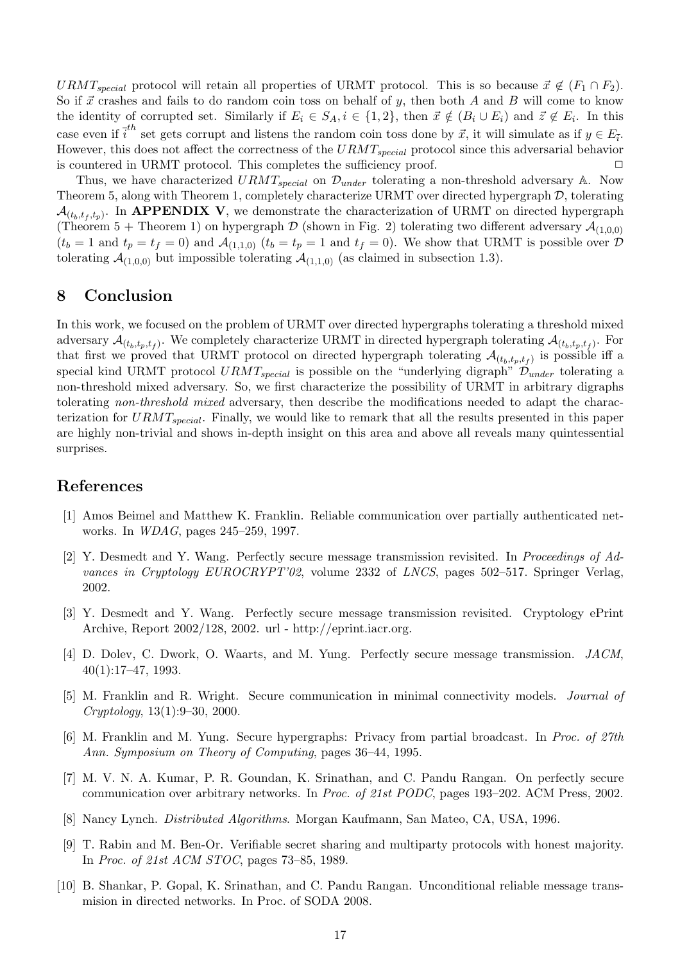URMT<sub>special</sub> protocol will retain all properties of URMT protocol. This is so because  $\vec{x} \notin (F_1 \cap F_2)$ . So if  $\vec{x}$  crashes and fails to do random coin toss on behalf of y, then both A and B will come to know the identity of corrupted set. Similarly if  $E_i \in S_A$ ,  $i \in \{1,2\}$ , then  $\vec{x} \notin (B_i \cup E_i)$  and  $\vec{z} \notin E_i$ . In this case even if  $\vec{i}^{th}$  set gets corrupt and listens the random coin toss done by  $\vec{x}$ , it will simulate as if  $y \in E_{\vec{i}}$ . However, this does not affect the correctness of the  $URMT_{special}$  protocol since this adversarial behavior is countered in URMT protocol. This completes the sufficiency proof.  $\Box$ 

Thus, we have characterized  $URMT_{special}$  on  $\mathcal{D}_{under}$  tolerating a non-threshold adversary A. Now Theorem 5, along with Theorem 1, completely characterize URMT over directed hypergraph  $D$ , tolerating  $\mathcal{A}_{(t_b,t_f,t_p)}$ . In APPENDIX V, we demonstrate the characterization of URMT on directed hypergraph (Theorem 5 + Theorem 1) on hypergraph  $\mathcal D$  (shown in Fig. 2) tolerating two different adversary  $\mathcal A_{(1,0,0)}$  $(t_b = 1 \text{ and } t_p = t_f = 0)$  and  $\mathcal{A}_{(1,1,0)}(t_b = t_p = 1 \text{ and } t_f = 0)$ . We show that URMT is possible over  $\mathcal{D}$ tolerating  $\mathcal{A}_{(1,0,0)}$  but impossible tolerating  $\mathcal{A}_{(1,1,0)}$  (as claimed in subsection 1.3).

### 8 Conclusion

In this work, we focused on the problem of URMT over directed hypergraphs tolerating a threshold mixed adversary  $\mathcal{A}_{(t_b,t_p,t_f)}$ . We completely characterize URMT in directed hypergraph tolerating  $\mathcal{A}_{(t_b,t_p,t_f)}$ . For that first we proved that URMT protocol on directed hypergraph tolerating  $\mathcal{A}_{(t_b,t_p,t_f)}$  is possible iff a special kind URMT protocol  $URMT_{special}$  is possible on the "underlying digraph"  $\mathcal{D}_{under}$  tolerating a non-threshold mixed adversary. So, we first characterize the possibility of URMT in arbitrary digraphs tolerating non-threshold mixed adversary, then describe the modifications needed to adapt the characterization for  $URMT_{special}$ . Finally, we would like to remark that all the results presented in this paper are highly non-trivial and shows in-depth insight on this area and above all reveals many quintessential surprises.

### References

- [1] Amos Beimel and Matthew K. Franklin. Reliable communication over partially authenticated networks. In WDAG, pages 245–259, 1997.
- [2] Y. Desmedt and Y. Wang. Perfectly secure message transmission revisited. In Proceedings of Advances in Cryptology EUROCRYPT'02, volume 2332 of LNCS, pages 502–517. Springer Verlag, 2002.
- [3] Y. Desmedt and Y. Wang. Perfectly secure message transmission revisited. Cryptology ePrint Archive, Report 2002/128, 2002. url - http://eprint.iacr.org.
- [4] D. Dolev, C. Dwork, O. Waarts, and M. Yung. Perfectly secure message transmission. JACM, 40(1):17–47, 1993.
- [5] M. Franklin and R. Wright. Secure communication in minimal connectivity models. Journal of Cryptology, 13(1):9–30, 2000.
- [6] M. Franklin and M. Yung. Secure hypergraphs: Privacy from partial broadcast. In Proc. of 27th Ann. Symposium on Theory of Computing, pages 36–44, 1995.
- [7] M. V. N. A. Kumar, P. R. Goundan, K. Srinathan, and C. Pandu Rangan. On perfectly secure communication over arbitrary networks. In Proc. of 21st PODC, pages 193–202. ACM Press, 2002.
- [8] Nancy Lynch. Distributed Algorithms. Morgan Kaufmann, San Mateo, CA, USA, 1996.
- [9] T. Rabin and M. Ben-Or. Verifiable secret sharing and multiparty protocols with honest majority. In Proc. of 21st ACM STOC, pages 73–85, 1989.
- [10] B. Shankar, P. Gopal, K. Srinathan, and C. Pandu Rangan. Unconditional reliable message transmision in directed networks. In Proc. of SODA 2008.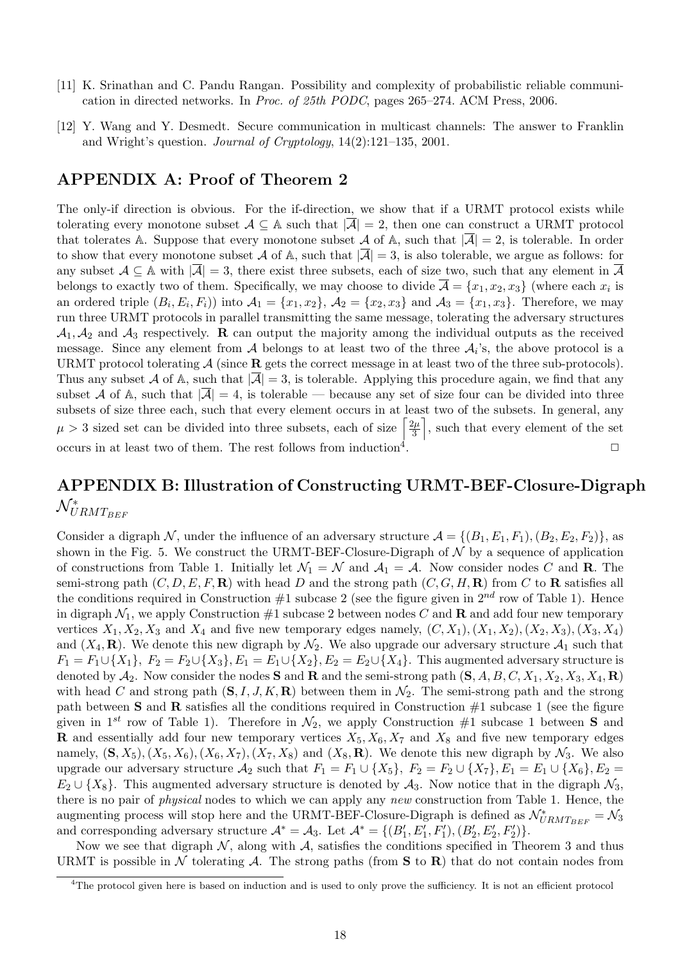- [11] K. Srinathan and C. Pandu Rangan. Possibility and complexity of probabilistic reliable communication in directed networks. In Proc. of 25th PODC, pages 265–274. ACM Press, 2006.
- [12] Y. Wang and Y. Desmedt. Secure communication in multicast channels: The answer to Franklin and Wright's question. Journal of Cryptology, 14(2):121–135, 2001.

### APPENDIX A: Proof of Theorem 2

The only-if direction is obvious. For the if-direction, we show that if a URMT protocol exists while tolerating every monotone subset  $A \subseteq A$  such that  $|\overline{A}| = 2$ , then one can construct a URMT protocol that tolerates A. Suppose that every monotone subset A of A, such that  $|\overline{A}| = 2$ , is tolerable. In order to show that every monotone subset A of A, such that  $|\overline{A}| = 3$ , is also tolerable, we argue as follows: for any subset  $A \subseteq \mathbb{A}$  with  $|\overline{A}| = 3$ , there exist three subsets, each of size two, such that any element in  $\overline{A}$ belongs to exactly two of them. Specifically, we may choose to divide  $\overline{\mathcal{A}} = \{x_1, x_2, x_3\}$  (where each  $x_i$  is an ordered triple  $(B_i, E_i, F_i)$  into  $\mathcal{A}_1 = \{x_1, x_2\}, \mathcal{A}_2 = \{x_2, x_3\}$  and  $\mathcal{A}_3 = \{x_1, x_3\}.$  Therefore, we may run three URMT protocols in parallel transmitting the same message, tolerating the adversary structures  $\mathcal{A}_1, \mathcal{A}_2$  and  $\mathcal{A}_3$  respectively. R can output the majority among the individual outputs as the received message. Since any element from  $A$  belongs to at least two of the three  $A_i$ 's, the above protocol is a URMT protocol tolerating  $\mathcal A$  (since **R** gets the correct message in at least two of the three sub-protocols). Thus any subset A of A, such that  $|\mathcal{A}| = 3$ , is tolerable. Applying this procedure again, we find that any subset A of A, such that  $|\overline{A}| = 4$ , is tolerable — because any set of size four can be divided into three subsets of size three each, such that every element occurs in at least two of the subsets. In general, any subsets of size three each, such that every element occurs in at lea<br>  $\mu > 3$  sized set can be divided into three subsets, each of size  $\left\lceil \frac{2\mu}{3} \right\rceil$  $\frac{2\mu}{3}$ , such that every element of the set occurs in at least two of them. The rest follows from induction<sup>4</sup>. . The contract of the contract of  $\Box$ 

# APPENDIX B: Illustration of Constructing URMT-BEF-Closure-Digraph  $\mathcal{N}^*_{URMT_{BEF}}$

Consider a digraph N, under the influence of an adversary structure  $\mathcal{A} = \{(B_1, E_1, F_1), (B_2, E_2, F_2)\}\$ , as shown in the Fig. 5. We construct the URMT-BEF-Closure-Digraph of  $\mathcal N$  by a sequence of application of constructions from Table 1. Initially let  $\mathcal{N}_1 = \mathcal{N}$  and  $\mathcal{A}_1 = \mathcal{A}$ . Now consider nodes C and **R**. The semi-strong path  $(C, D, E, F, \mathbf{R})$  with head D and the strong path  $(C, G, H, \mathbf{R})$  from C to **R** satisfies all the conditions required in Construction #1 subcase 2 (see the figure given in  $2^{nd}$  row of Table 1). Hence in digraph  $\mathcal{N}_1$ , we apply Construction #1 subcase 2 between nodes C and **R** and add four new temporary vertices  $X_1, X_2, X_3$  and  $X_4$  and five new temporary edges namely,  $(C, X_1), (X_1, X_2), (X_2, X_3), (X_3, X_4)$ and  $(X_4, \mathbf{R})$ . We denote this new digraph by  $\mathcal{N}_2$ . We also upgrade our adversary structure  $\mathcal{A}_1$  such that  $F_1 = F_1 \cup \{X_1\}, F_2 = F_2 \cup \{X_3\}, E_1 = E_1 \cup \{X_2\}, E_2 = E_2 \cup \{X_4\}.$  This augmented adversary structure is denoted by  $\mathcal{A}_2$ . Now consider the nodes **S** and **R** and the semi-strong path  $(\mathbf{S}, A, B, C, X_1, X_2, X_3, X_4, \mathbf{R})$ with head C and strong path  $(S, I, J, K, \mathbf{R})$  between them in  $\mathcal{N}_2$ . The semi-strong path and the strong path between **S** and **R** satisfies all the conditions required in Construction  $\#1$  subcase 1 (see the figure given in 1<sup>st</sup> row of Table 1). Therefore in  $\mathcal{N}_2$ , we apply Construction #1 subcase 1 between **S** and **R** and essentially add four new temporary vertices  $X_5, X_6, X_7$  and  $X_8$  and five new temporary edges namely,  $(S, X_5)$ ,  $(X_5, X_6)$ ,  $(X_6, X_7)$ ,  $(X_7, X_8)$  and  $(X_8, \mathbf{R})$ . We denote this new digraph by  $\mathcal{N}_3$ . We also upgrade our adversary structure  $\mathcal{A}_2$  such that  $F_1 = F_1 \cup \{X_5\}$ ,  $F_2 = F_2 \cup \{X_7\}$ ,  $E_1 = E_1 \cup \{X_6\}$ ,  $E_2 =$  $E_2 \cup \{X_8\}$ . This augmented adversary structure is denoted by  $A_3$ . Now notice that in the digraph  $\mathcal{N}_3$ , there is no pair of physical nodes to which we can apply any new construction from Table 1. Hence, the augmenting process will stop here and the URMT-BEF-Closure-Digraph is defined as  $\mathcal{N}_{URMT_{BEF}}^* = \mathcal{N}_3$ and corresponding adversary structure  $\mathcal{A}^* = \mathcal{A}_3$ . Let  $\mathcal{A}^* = \{(B'_1, E'_1, F'_1), (B'_2, E'_2, F'_2)\}.$ 

Now we see that digraph  $\mathcal{N}$ , along with  $\mathcal{A}$ , satisfies the conditions specified in Theorem 3 and thus URMT is possible in  $\mathcal N$  tolerating  $\mathcal A$ . The strong paths (from S to R) that do not contain nodes from

<sup>&</sup>lt;sup>4</sup>The protocol given here is based on induction and is used to only prove the sufficiency. It is not an efficient protocol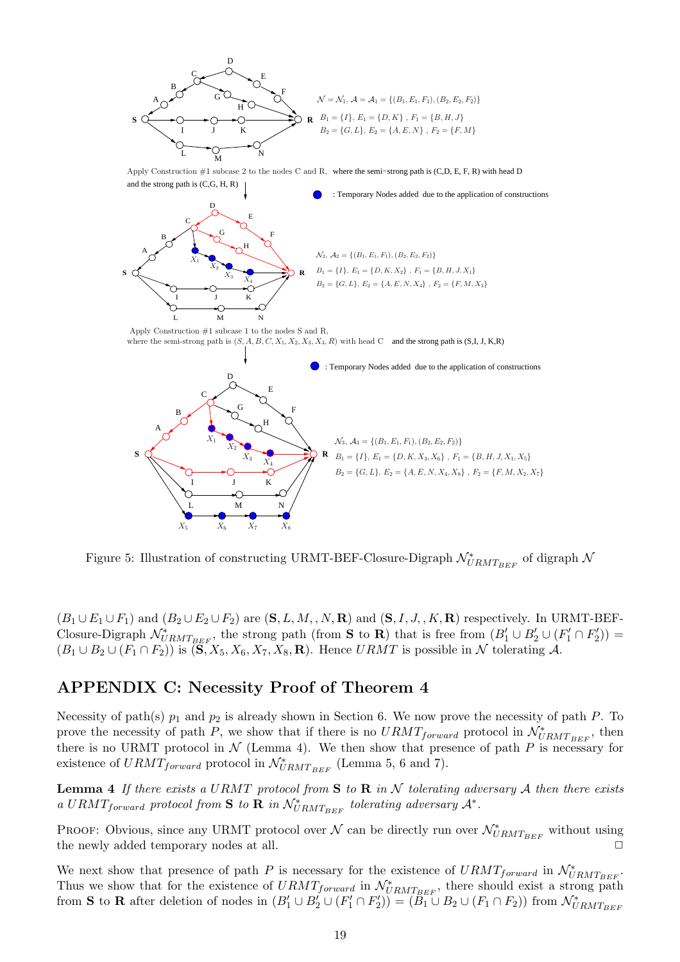

Figure 5: Illustration of constructing URMT-BEF-Closure-Digraph  $\mathcal{N}^*_{URMT_{BEF}}$  of digraph  $\mathcal{N}$ 

 $(B_1 \cup E_1 \cup F_1)$  and  $(B_2 \cup E_2 \cup F_2)$  are  $(\mathbf{S}, L, M, N, \mathbf{R})$  and  $(\mathbf{S}, I, J, K, \mathbf{R})$  respectively. In URMT-BEF-Closure-Digraph  $\mathcal{N}_{URMT_{BEF}}^*$ , the strong path (from S to R) that is free from  $(B'_1 \cup B'_2 \cup (F'_1 \cap F'_2))$  =  $(B_1 \cup B_2 \cup (F_1 \cap F_2))$  is  $(\mathbf{S}, X_5, X_6, X_7, X_8, \mathbf{R})$ . Hence  $URMT$  is possible in N tolerating A.

### APPENDIX C: Necessity Proof of Theorem 4

Necessity of path(s)  $p_1$  and  $p_2$  is already shown in Section 6. We now prove the necessity of path P. To prove the necessity of path P, we show that if there is no  $URMT_{forward}$  protocol in  $\mathcal{N}_{URMT_{BEF}}^*$ , then there is no URMT protocol in  $N$  (Lemma 4). We then show that presence of path P is necessary for existence of  $URMT_{forward}$  protocol in  $\mathcal{N}_{URMT_{BEF}}^{*}$  (Lemma 5, 6 and 7).

**Lemma 4** If there exists a URMT protocol from S to R in N tolerating adversary A then there exists a URMT<sub>forward</sub> protocol from S to R in  $\mathcal{N}_{URMT_{BEF}}^*$  tolerating adversary  $\mathcal{A}^*$ .

PROOF: Obvious, since any URMT protocol over  $\mathcal N$  can be directly run over  $\mathcal N_{URMT_{BEF}}^*$  without using the newly added temporary nodes at all.  $\square$ 

We next show that presence of path P is necessary for the existence of  $URMT_{forward}$  in  $\mathcal{N}_{URMT_{BEF}}^*$ . Thus we show that for the existence of  $URMT_{forward}$  in  $\mathcal{N}_{URMT_{BEF}}^*$ , there should exist a strong path from **S** to **R** after deletion of nodes in  $(B'_1 \cup B'_2 \cup (F'_1 \cap F'_2)) = (B_1 \cup B_2 \cup (F_1 \cap F_2))$  from  $\mathcal{N}_{URMT_{BEF}}^*$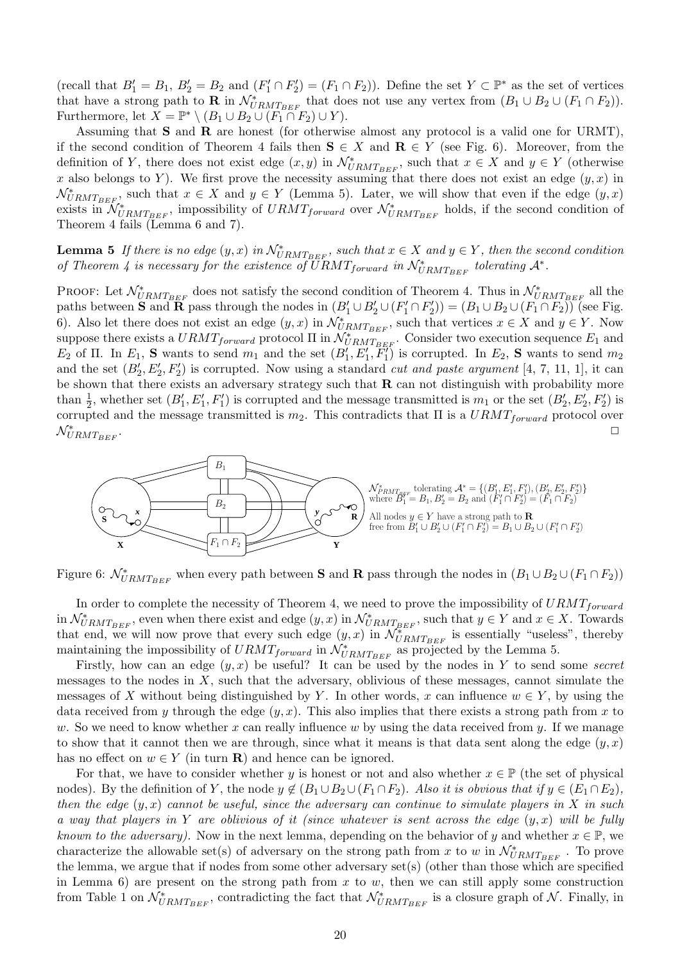(recall that  $B'_1 = B_1$ ,  $B'_2 = B_2$  and  $(F'_1 \cap F'_2) = (F_1 \cap F_2)$ ). Define the set  $Y \subset \mathbb{P}^*$  as the set of vertices that have a strong path to **R** in  $\mathcal{N}_{URMT_{BEF}}^*$  that does not use any vertex from  $(B_1 \cup B_2 \cup (F_1 \cap F_2)).$ Furthermore, let  $X = \mathbb{P}^* \setminus (B_1 \cup B_2 \cup (F_1 \cap F_2) \cup Y)$ .

Assuming that  $S$  and  $R$  are honest (for otherwise almost any protocol is a valid one for URMT), if the second condition of Theorem 4 fails then  $S \in X$  and  $R \in Y$  (see Fig. 6). Moreover, from the definition of Y, there does not exist edge  $(x, y)$  in  $\mathcal{N}_{URMT_{BEF}}^*$ , such that  $x \in X$  and  $y \in Y$  (otherwise x also belongs to Y). We first prove the necessity assuming that there does not exist an edge  $(y, x)$  in  $\mathcal{N}_{URMT_{BEF}}^*$ , such that  $x \in X$  and  $y \in Y$  (Lemma 5). Later, we will show that even if the edge  $(y, x)$ exists in  $\mathcal{N}_{URMT_{BEF}}^*$ , impossibility of  $URMT_{forward}$  over  $\mathcal{N}_{URMT_{BEF}}^*$  holds, if the second condition of Theorem 4 fails (Lemma 6 and 7).

**Lemma 5** If there is no edge  $(y, x)$  in  $\mathcal{N}_{URMT_{BEF}}^*$ , such that  $x \in X$  and  $y \in Y$ , then the second condition of Theorem 4 is necessary for the existence of  $\overline{U}RMT_{forward}$  in  $\mathcal{N}_{URMT_{BEF}}^*$  tolerating  $\mathcal{A}^*$ .

PROOF: Let  $\mathcal{N}_{URMT_{BEF}}^*$  does not satisfy the second condition of Theorem 4. Thus in  $\mathcal{N}_{URMT_{BEF}}^*$  all the paths between **S** and **R** pass through the nodes in  $(B'_1 \cup B'_2 \cup (F'_1 \cap F'_2)) = (B_1 \cup B_2 \cup (F_1 \cap F_2))$  (see Fig. 6). Also let there does not exist an edge  $(y, x)$  in  $\mathcal{N}_{URMT_{BEF}}^*$ , such that vertices  $x \in X$  and  $y \in Y$ . Now suppose there exists a  $URMT_{forward}$  protocol  $\Pi$  in  $\mathcal{N}_{URMT_{BEF}}^*$ . Consider two execution sequence  $E_1$  and  $E_2$  of  $\Pi$ . In  $E_1$ , **S** wants to send  $m_1$  and the set  $(B'_1, E'_1, E''_1)$  is corrupted. In  $E_2$ , **S** wants to send  $m_2$ and the set  $(B'_2, E'_2, F'_2)$  is corrupted. Now using a standard *cut and paste argument* [4, 7, 11, 1], it can be shown that there exists an adversary strategy such that  $\bf{R}$  can not distinguish with probability more than  $\frac{1}{2}$ , whether set  $(B'_1, E'_1, F'_1)$  is corrupted and the message transmitted is  $m_1$  or the set  $(B'_2, E'_2, F'_2)$  is corrupted and the message transmitted is  $m_2$ . This contradicts that  $\Pi$  is a  $URMT_{forward}$  protocol over  $\mathcal{N}^*_{URMT_{BEF}}$ . ✷



Figure 6:  $\mathcal{N}_{URMT_{BEF}}^*$  when every path between **S** and **R** pass through the nodes in  $(B_1 \cup B_2 \cup (F_1 \cap F_2))$ 

In order to complete the necessity of Theorem 4, we need to prove the impossibility of  $URMT_{forward}$ in  $\mathcal{N}_{URMT_{BEF}}^*$ , even when there exist and edge  $(y, x)$  in  $\mathcal{N}_{URMT_{BEF}}^*$ , such that  $y \in Y$  and  $x \in X$ . Towards that end, we will now prove that every such edge  $(y, x)$  in  $\mathcal{N}_{URMTEEF}^{*}$  is essentially "useless", thereby maintaining the impossibility of  $URMT_{forward}$  in  $\mathcal{N}_{URMT_{BEF}}^*$  as projected by the Lemma 5.

Firstly, how can an edge  $(y, x)$  be useful? It can be used by the nodes in Y to send some secret messages to the nodes in  $X$ , such that the adversary, oblivious of these messages, cannot simulate the messages of X without being distinguished by Y. In other words, x can influence  $w \in Y$ , by using the data received from y through the edge  $(y, x)$ . This also implies that there exists a strong path from x to w. So we need to know whether x can really influence w by using the data received from y. If we manage to show that it cannot then we are through, since what it means is that data sent along the edge  $(y, x)$ has no effect on  $w \in Y$  (in turn **R**) and hence can be ignored.

For that, we have to consider whether y is honest or not and also whether  $x \in \mathbb{P}$  (the set of physical nodes). By the definition of Y, the node  $y \notin (B_1 \cup B_2 \cup (F_1 \cap F_2))$ . Also it is obvious that if  $y \in (E_1 \cap E_2)$ , then the edge  $(y, x)$  cannot be useful, since the adversary can continue to simulate players in X in such a way that players in Y are oblivious of it (since whatever is sent across the edge  $(y, x)$  will be fully known to the adversary). Now in the next lemma, depending on the behavior of y and whether  $x \in \mathbb{P}$ , we characterize the allowable set(s) of adversary on the strong path from x to w in  $\mathcal{N}^*_{URMT_{BEF}}$ . To prove the lemma, we argue that if nodes from some other adversary set(s) (other than those which are specified in Lemma 6) are present on the strong path from  $x$  to  $w$ , then we can still apply some construction from Table 1 on  $\mathcal{N}_{URMT_{BEF}}^*$ , contradicting the fact that  $\mathcal{N}_{URMT_{BEF}}^*$  is a closure graph of  $\mathcal{N}$ . Finally, in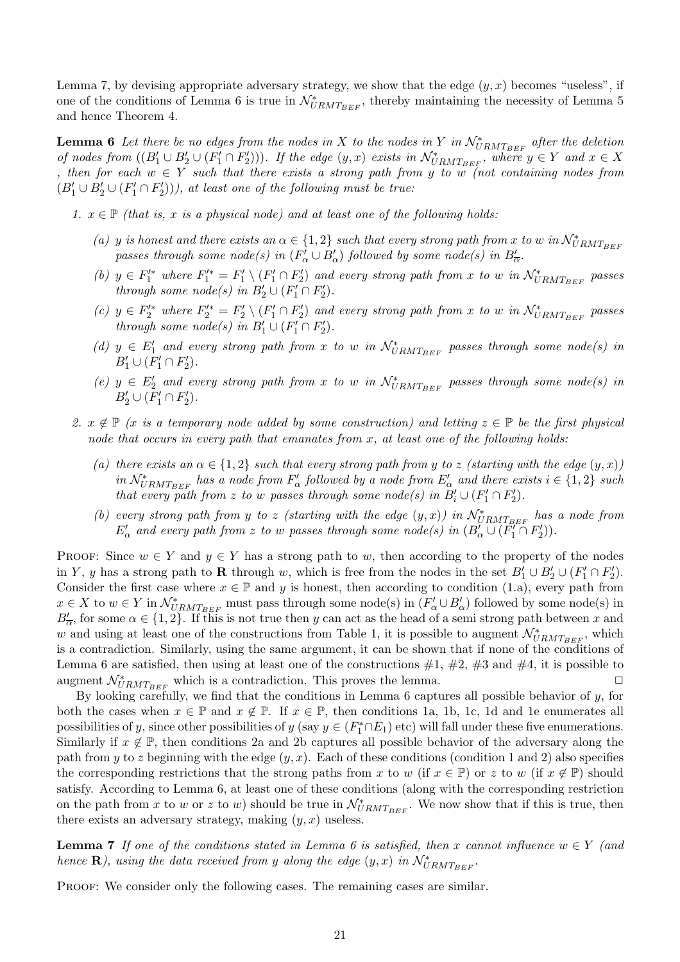Lemma 7, by devising appropriate adversary strategy, we show that the edge  $(y, x)$  becomes "useless", if one of the conditions of Lemma 6 is true in  $\mathcal{N}^*_{URMT_{BEF}}$ , thereby maintaining the necessity of Lemma 5 and hence Theorem 4.

**Lemma 6** Let there be no edges from the nodes in X to the nodes in Y in  $\mathcal{N}_{URMT_{BEF}}^*$  after the deletion of nodes from  $((B'_1 \cup B'_2 \cup (F'_1 \cap F'_2)))$ . If the edge  $(y, x)$  exists in  $\mathcal{N}_{URMT_{BEF}}^*$ , where  $y \in Y$  and  $x \in X$ , then for each  $w \in Y$  such that there exists a strong path from y to w (not containing nodes from  $(B'_1 \cup B'_2 \cup (F'_1 \cap F'_2)),$  at least one of the following must be true:

1.  $x \in \mathbb{P}$  (that is, x is a physical node) and at least one of the following holds:

- (a) y is honest and there exists an  $\alpha \in \{1,2\}$  such that every strong path from x to w in  $\mathcal{N}_{URMT_{BEF}}^*$ passes through some node(s) in  $(F'_\alpha \cup B'_\alpha)$  followed by some node(s) in  $B'_{\overline{\alpha}}$ .
- (b)  $y \in F_1'^*$  where  $F_1'^* = F_1' \setminus (F_1' \cap F_2')$  and every strong path from x to w in  $\mathcal{N}_{URMT_{BEF}}^*$  passes through some node(s) in  $B'_2 \cup (F'_1 \cap F'_2)$ .
- (c)  $y \in F_2'^*$  where  $F_2'^* = F_2' \setminus (F_1' \cap F_2')$  and every strong path from x to w in  $\mathcal{N}_{URMT_{BEF}}^*$  passes through some node(s) in  $B'_1 \cup (F'_1 \cap F'_2)$ .
- (d)  $y \in E'_1$  and every strong path from x to w in  $\mathcal{N}_{URMT_{BEF}}^*$  passes through some node(s) in  $B'_1 \cup (F'_1 \cap F'_2).$
- (e)  $y \in E'_2$  and every strong path from x to w in  $\mathcal{N}_{URMT_{BEF}}^*$  passes through some node(s) in  $B'_2 \cup (F'_1 \cap F'_2).$
- 2.  $x \notin \mathbb{P}$  (x is a temporary node added by some construction) and letting  $z \in \mathbb{P}$  be the first physical node that occurs in every path that emanates from  $x$ , at least one of the following holds:
	- (a) there exists an  $\alpha \in \{1,2\}$  such that every strong path from y to z (starting with the edge  $(y, x)$ ) in  $\mathcal{N}_{URMT_{BEF}}^*$  has a node from  $F'_\alpha$  followed by a node from  $E'_\alpha$  and there exists  $i \in \{1,2\}$  such that every path from z to w passes through some node(s) in  $B_i' \cup (F_1' \cap F_2')$ .
	- (b) every strong path from y to z (starting with the edge  $(y, x)$ ) in  $\mathcal{N}_{URMT_{BEF}}^*$  has a node from  $E'_\alpha$  and every path from z to w passes through some node(s) in  $(B'_\alpha \cup (F'_1 \cap F'_2))$ .

PROOF: Since  $w \in Y$  and  $y \in Y$  has a strong path to w, then according to the property of the nodes in Y, y has a strong path to **R** through w, which is free from the nodes in the set  $B'_1 \cup B'_2 \cup (F'_1 \cap F'_2)$ . Consider the first case where  $x \in \mathbb{P}$  and y is honest, then according to condition (1.a), every path from  $x \in X$  to  $w \in Y$  in  $\mathcal{N}_{URMT_{BEF}}^*$  must pass through some node(s) in  $(F'_\alpha \cup B'_\alpha)$  followed by some node(s) in  $B'_{\overline{\alpha}}$ , for some  $\alpha \in \{1,2\}$ . If this is not true then y can act as the head of a semi strong path between x and w and using at least one of the constructions from Table 1, it is possible to augment  $\mathcal{N}^*_{URMT_{BEF}}$ , which is a contradiction. Similarly, using the same argument, it can be shown that if none of the conditions of Lemma 6 are satisfied, then using at least one of the constructions  $#1, #2, #3$  and  $#4$ , it is possible to augment  $\mathcal{N}_{URMT_{BEF}}^*$  which is a contradiction. This proves the lemma.

By looking carefully, we find that the conditions in Lemma 6 captures all possible behavior of  $y$ , for both the cases when  $x \in \mathbb{P}$  and  $x \notin \mathbb{P}$ . If  $x \in \mathbb{P}$ , then conditions 1a, 1b, 1c, 1d and 1e enumerates all possibilities of y, since other possibilities of y (say  $y \in (F_1^* \cap E_1)$  etc) will fall under these five enumerations. Similarly if  $x \notin \mathbb{P}$ , then conditions 2a and 2b captures all possible behavior of the adversary along the path from y to z beginning with the edge  $(y, x)$ . Each of these conditions (condition 1 and 2) also specifies the corresponding restrictions that the strong paths from x to w (if  $x \in \mathbb{P}$ ) or z to w (if  $x \notin \mathbb{P}$ ) should satisfy. According to Lemma 6, at least one of these conditions (along with the corresponding restriction on the path from x to w or z to w) should be true in  $\mathcal{N}_{URMT_{BEF}}^*$ . We now show that if this is true, then there exists an adversary strategy, making  $(y, x)$  useless.

**Lemma 7** If one of the conditions stated in Lemma 6 is satisfied, then x cannot influence  $w \in Y$  (and hence  $\mathbf{R}$ ), using the data received from y along the edge  $(y, x)$  in  $\mathcal{N}_{URMT_{BEF}}^*$ .

Proof: We consider only the following cases. The remaining cases are similar.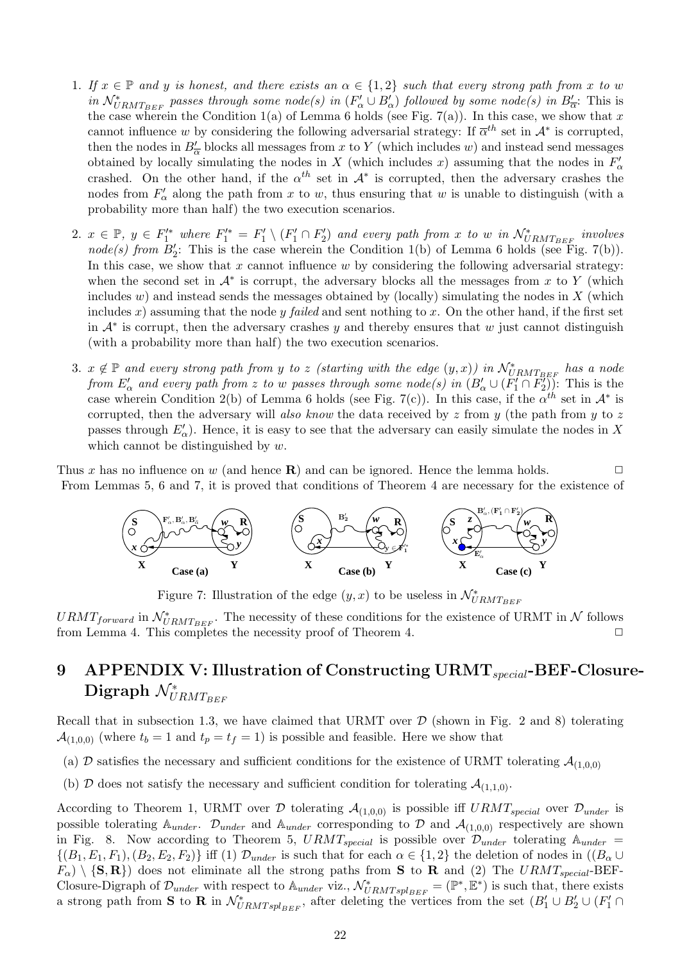- 1. If  $x \in \mathbb{P}$  and y is honest, and there exists an  $\alpha \in \{1,2\}$  such that every strong path from x to w in  $\mathcal{N}_{URMT_{BEF}}^*$  passes through some node(s) in  $(F'_\alpha \cup B'_\alpha)$  followed by some node(s) in  $B'_{\overline{\alpha}}$ : This is the case wherein the Condition 1(a) of Lemma 6 holds (see Fig. 7(a)). In this case, we show that x cannot influence w by considering the following adversarial strategy: If  $\overline{\alpha}^{th}$  set in  $\mathcal{A}^*$  is corrupted, then the nodes in  $B'_{\overline{\alpha}}$  blocks all messages from x to Y (which includes w) and instead send messages obtained by locally simulating the nodes in X (which includes x) assuming that the nodes in  $F'_{\alpha}$ crashed. On the other hand, if the  $\alpha^{th}$  set in  $\mathcal{A}^*$  is corrupted, then the adversary crashes the nodes from  $F'_{\alpha}$  along the path from x to w, thus ensuring that w is unable to distinguish (with a probability more than half) the two execution scenarios.
- 2.  $x \in \mathbb{P}, y \in F'^{*}_{1}$  where  $F'^{*}_{1} = F'_{1} \setminus (F'_{1} \cap F'_{2})$  and every path from x to w in  $\mathcal{N}^{*}_{URMT_{BEF}}$  involves node(s) from  $B'_2$ : This is the case wherein the Condition 1(b) of Lemma 6 holds (see Fig. 7(b)). In this case, we show that  $x$  cannot influence  $w$  by considering the following adversarial strategy: when the second set in  $A^*$  is corrupt, the adversary blocks all the messages from x to Y (which includes  $w$ ) and instead sends the messages obtained by (locally) simulating the nodes in  $X$  (which includes x) assuming that the node y failed and sent nothing to x. On the other hand, if the first set in  $\mathcal{A}^*$  is corrupt, then the adversary crashes y and thereby ensures that w just cannot distinguish (with a probability more than half) the two execution scenarios.
- 3.  $x \notin \mathbb{P}$  and every strong path from y to z (starting with the edge  $(y, x)$ ) in  $\mathcal{N}_{URMT_{BEF}}^*$  has a node from  $E'_\alpha$  and every path from z to w passes through some node(s) in  $(B'_\alpha \cup (F'_1 \cap F'_2))$ . This is the case wherein Condition 2(b) of Lemma 6 holds (see Fig. 7(c)). In this case, if the  $\alpha^{th}$  set in  $\mathcal{A}^*$  is corrupted, then the adversary will also know the data received by  $z$  from  $y$  (the path from  $y$  to  $z$ passes through  $E'_{\alpha}$ ). Hence, it is easy to see that the adversary can easily simulate the nodes in X which cannot be distinguished by  $w$ .

Thus x has no influence on w (and hence  $\mathbf{R}$ ) and can be ignored. Hence the lemma holds. From Lemmas 5, 6 and 7, it is proved that conditions of Theorem 4 are necessary for the existence of



Figure 7: Illustration of the edge  $(y, x)$  to be useless in  $\mathcal{N}_{URMT_{BEF}}^*$ 

 $URMT_{forward}$  in  $\mathcal{N}_{URMT_{BEF}}^*$ . The necessity of these conditions for the existence of URMT in  $\mathcal{N}$  follows from Lemma 4. This completes the necessity proof of Theorem 4.  $\Box$ 

# 9 APPENDIX V: Illustration of Constructing URMT $_{special}$ -BEF-Closure-Digraph  $\mathcal{N}^*_{URMT_{BEF}}$

Recall that in subsection 1.3, we have claimed that URMT over  $D$  (shown in Fig. 2 and 8) tolerating  $\mathcal{A}_{(1,0,0)}$  (where  $t_b = 1$  and  $t_p = t_f = 1$ ) is possible and feasible. Here we show that

- (a) D satisfies the necessary and sufficient conditions for the existence of URMT tolerating  $A_{(1,0,0)}$
- (b) D does not satisfy the necessary and sufficient condition for tolerating  $\mathcal{A}_{(1,1,0)}$ .

According to Theorem 1, URMT over D tolerating  $A_{(1,0,0)}$  is possible iff  $URMT_{special}$  over  $\mathcal{D}_{under}$  is possible tolerating  $A_{under}$ .  $\mathcal{D}_{under}$  and  $A_{under}$  corresponding to  $\mathcal{D}$  and  $\mathcal{A}_{(1,0,0)}$  respectively are shown in Fig. 8. Now according to Theorem 5,  $URMT_{special}$  is possible over  $\mathcal{D}_{under}$  tolerating  $\mathbb{A}_{under}$  =  $\{(B_1, E_1, F_1), (B_2, E_2, F_2)\}\$ iff (1)  $\mathcal{D}_{under}$  is such that for each  $\alpha \in \{1, 2\}$  the deletion of nodes in  $((B_{\alpha} \cup$  $F_{\alpha}$ )  $\{S, R\}$  does not eliminate all the strong paths from S to R and (2) The URMT<sub>special</sub>-BEF-Closure-Digraph of  $\mathcal{D}_{under}$  with respect to  $\mathbb{A}_{under}$  viz.,  $\mathcal{N}_{URMTspl_{BEF}}^{*} = (\mathbb{P}^*, \mathbb{E}^*)$  is such that, there exists a strong path from **S** to **R** in  $\mathcal{N}_{URMTspl_{BEF}}^*$ , after deleting the vertices from the set  $(B'_1 \cup B'_2 \cup (F'_1 \cap$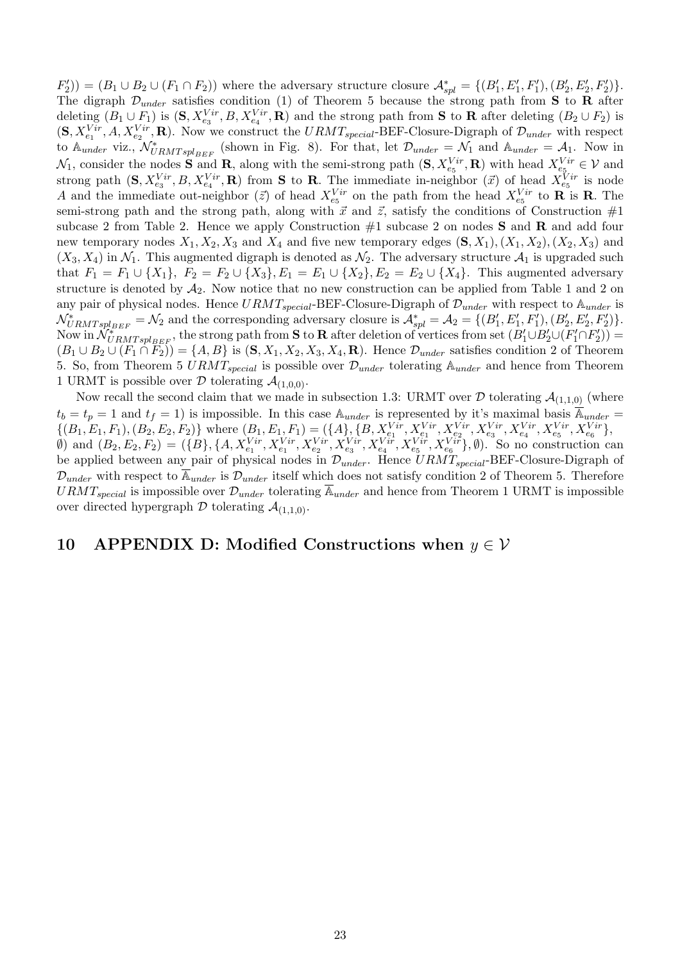$(F'_2$ ) =  $(B_1 \cup B_2 \cup (F_1 \cap F_2))$  where the adversary structure closure  $\mathcal{A}_{spl}^* = \{(B'_1, E'_1, F'_1), (B'_2, E'_2, F'_2)\}.$ The digraph  $\mathcal{D}_{under}$  satisfies condition (1) of Theorem 5 because the strong path from S to R after deleting  $(B_1\cup F_1)$  is  $(\mathbf{S}, X_{e_3}^{Vir}, B, X_{e_4}^{Vir}, \mathbf{R})$  and the strong path from **S** to **R** after deleting  $(B_2\cup F_2)$  is  $(\mathbf{S}, X_{e_1}^{Vir}, A, X_{e_2}^{Vir}, \mathbf{R})$ . Now we construct the  $URMT_{special}$ -BEF-Closure-Digraph of  $\mathcal{D}_{under}$  with respect to  $\mathbb{A}_{under}$  viz.,  $\mathcal{N}_{URMTspl_{BEF}}^*$  (shown in Fig. 8). For that, let  $\mathcal{D}_{under} = \mathcal{N}_1$  and  $\mathbb{A}_{under} = \mathcal{A}_1$ . Now in  $\mathcal{N}_1$ , consider the nodes **S** and **R**, along with the semi-strong path  $(\mathbf{S}, X_{e_5}^{Vir}, \mathbf{R})$  with head  $X_{e_5}^{Vir} \in \mathcal{V}$  and strong path  $(\mathbf{S}, X_{e_3}^{Vir}, B, X_{e_4}^{Vir}, \mathbf{R})$  from **S** to **R**. The immediate in-neighbor  $(\vec{x})$  of head  $X_{e_5}^{Vir}$  is node A and the immediate out-neighbor  $(\vec{z})$  of head  $X_{e_5}^{Vir}$  on the path from the head  $X_{e_5}^{Vir}$  to **R** is **R**. The semi-strong path and the strong path, along with  $\vec{x}$  and  $\vec{z}$ , satisfy the conditions of Construction #1 subcase 2 from Table 2. Hence we apply Construction  $#1$  subcase 2 on nodes S and R and add four new temporary nodes  $X_1, X_2, X_3$  and  $X_4$  and five new temporary edges  $(\mathbf{S}, X_1), (X_1, X_2), (X_2, X_3)$  and  $(X_3, X_4)$  in  $\mathcal{N}_1$ . This augmented digraph is denoted as  $\mathcal{N}_2$ . The adversary structure  $\mathcal{A}_1$  is upgraded such that  $F_1 = F_1 \cup \{X_1\}, F_2 = F_2 \cup \{X_3\}, E_1 = E_1 \cup \{X_2\}, E_2 = E_2 \cup \{X_4\}.$  This augmented adversary structure is denoted by  $A_2$ . Now notice that no new construction can be applied from Table 1 and 2 on any pair of physical nodes. Hence  $URMT_{special}$ -BEF-Closure-Digraph of  $\mathcal{D}_{under}$  with respect to  $\mathbb{A}_{under}$  is  $\mathcal{N}_{URMTspl_{BEF}}^* = \mathcal{N}_2$  and the corresponding adversary closure is  $\mathcal{A}_{spl}^* = \mathcal{A}_2 = \{(B'_1, E'_1, F'_1), (B'_2, E'_2, F'_2)\}.$ Now in  $\mathcal{N}_{URMTspl_{BEF}}^*$ , the strong path from S to R after deletion of vertices from set  $(B_1' \cup B_2' \cup (F_1' \cap F_2'))$  $(B_1 \cup B_2 \cup (F_1 \cap \overline{F_2})) = \{A, B\}$  is  $(\mathbf{S}, X_1, X_2, X_3, X_4, \mathbf{R})$ . Hence  $\mathcal{D}_{under}$  satisfies condition 2 of Theorem 5. So, from Theorem 5  $URMT_{special}$  is possible over  $\mathcal{D}_{under}$  tolerating  $\mathbb{A}_{under}$  and hence from Theorem 1 URMT is possible over  $D$  tolerating  $A_{(1,0,0)}$ .

Now recall the second claim that we made in subsection 1.3: URMT over  $\mathcal D$  tolerating  $\mathcal A_{(1,1,0)}$  (where  $t_b = t_p = 1$  and  $t_f = 1$ ) is impossible. In this case  $\mathbb{A}_{under}$  is represented by it's maximal basis  $\overline{\mathbb{A}}_{under}$  $\{(B_1, E_1, F_1), (B_2, E_2, F_2)\}\text{ where } (B_1, E_1, F_1) = (\{A\}, \{B, X_{e_1}^{Vir}, X_{e_1}^{Vir}, X_{e_2}^{Vir}, X_{e_3}^{Vir}, X_{e_4}^{Vir}, X_{e_5}^{Vir}, X_{e_6}^{Vir}\},$ (b) and  $(B_2, E_2, F_2) = (\{B\}, \{A, X_{e_1}^{Vir}, X_{e_1}^{Vir}, X_{e_2}^{Vir}, X_{e_3}^{Vir}, X_{e_4}^{Vir}, X_{e_5}^{Vir}, X_{e_6}^{Vir})\}$ , (b). So no construction can be applied between any pair of physical nodes in  $\mathcal{D}_{under}$ . Hence  $URMT_{special}$ -BEF-Closure-Digraph of  $\mathcal{D}_{under}$  with respect to  $\mathbb{A}_{under}$  is  $\mathcal{D}_{under}$  itself which does not satisfy condition 2 of Theorem 5. Therefore  $URMT_{special}$  is impossible over  $\mathcal{D}_{under}$  tolerating  $\overline{\mathbb{A}}_{under}$  and hence from Theorem 1 URMT is impossible over directed hypergraph  $D$  tolerating  $\mathcal{A}_{(1,1,0)}$ .

### 10 APPENDIX D: Modified Constructions when  $y \in V$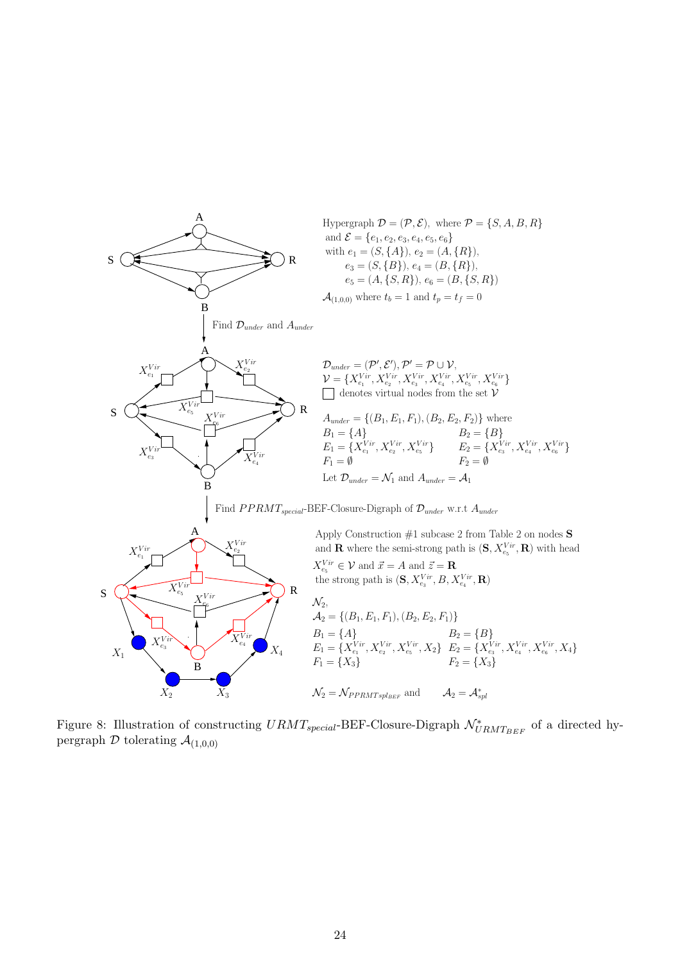

Figure 8: Illustration of constructing  $URMT_{special}$ -BEF-Closure-Digraph  $\mathcal{N}^*_{URMT_{BEF}}$  of a directed hypergraph  $D$  tolerating  $A_{(1,0,0)}$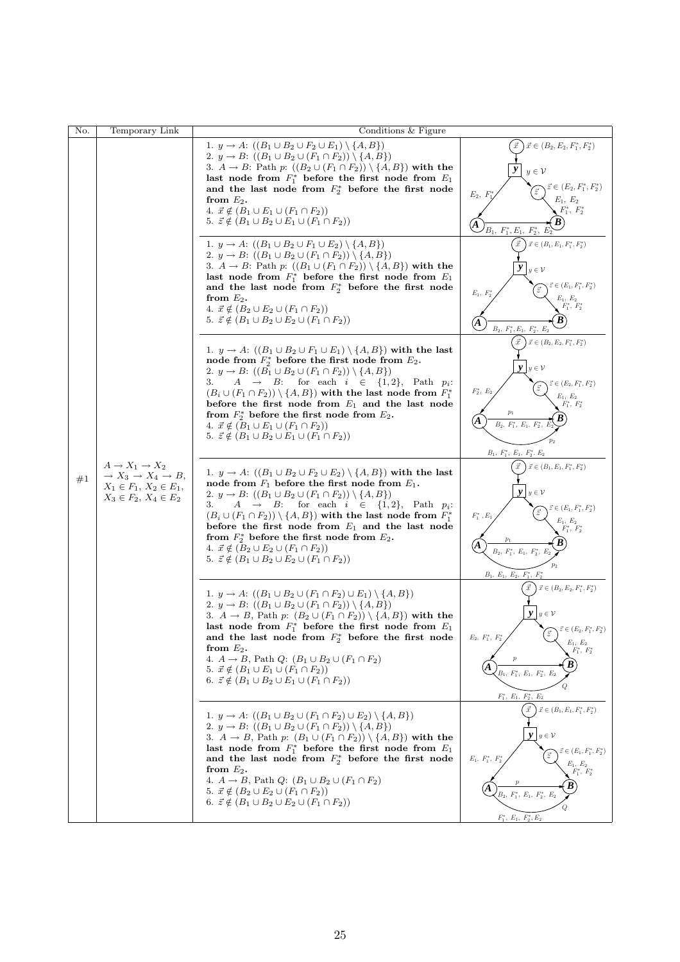| No. | Temporary Link                                                                                                                                       | Conditions $\&$ Figure                                                                                                                                                                                                                                                                                                                                                                                                                                                                                                                                                                                                         |                                                                                                                                                                                                                                                                   |
|-----|------------------------------------------------------------------------------------------------------------------------------------------------------|--------------------------------------------------------------------------------------------------------------------------------------------------------------------------------------------------------------------------------------------------------------------------------------------------------------------------------------------------------------------------------------------------------------------------------------------------------------------------------------------------------------------------------------------------------------------------------------------------------------------------------|-------------------------------------------------------------------------------------------------------------------------------------------------------------------------------------------------------------------------------------------------------------------|
| #1  | $A \rightarrow X_1 \rightarrow X_2$<br>$\rightarrow X_3 \rightarrow X_4 \rightarrow B,$<br>$X_1 \in F_1, X_2 \in E_1,$<br>$X_3 \in F_2, X_4 \in E_2$ | 1. $y \to A: ((B_1 \cup B_2 \cup F_2 \cup E_1) \setminus \{A, B\})$<br>2. $y \to B$ : $((B_1 \cup B_2 \cup (F_1 \cap F_2)) \setminus \{A, B\})$<br>3. $A \rightarrow B$ : Path p: $((B_2 \cup (F_1 \cap F_2)) \setminus \{A, B\})$ with the<br>last node from $F_1^*$ before the first node from $E_1$<br>and the last node from $F_2^*$ before the first node<br>from $E_2$ .<br>4. $\vec{x} \notin (B_1 \cup E_1 \cup (F_1 \cap F_2))$<br>5. $\vec{z} \notin (B_1 \cup B_2 \cup E_1 \cup (F_1 \cap F_2))$                                                                                                                    | $\left(x\in (B_2, E_2, F_1^*, F_2^*)\right)$<br>$\vec{x}$<br>$y\in\mathcal{V}$<br>$\vec{z} \in (E_2, F_1^*, F_2^*)$<br>$\vec{z}$<br>$E_2$ , $F$<br>$E_1, E_2$<br>$F_1^*, F_2^*$<br>(A<br>$B_1, F_1^*, E_1, F_2^*, E_2^*$                                          |
|     |                                                                                                                                                      | 1. $y \to A: ((B_1 \cup B_2 \cup F_1 \cup E_2) \setminus \{A, B\})$<br>2. $y \to B$ : $((B_1 \cup B_2 \cup (F_1 \cap F_2)) \setminus \{A, B\})$<br>3. $A \rightarrow B$ : Path p: $((B_1 \cup (F_1 \cap F_2)) \setminus \{A, B\})$ with the<br>last node from $F_1^*$ before the first node from $E_1$<br>and the last node from $F_2^*$ before the first node<br>from $E_2$ .<br>4. $\vec{x} \notin (B_2 \cup E_2 \cup (F_1 \cap F_2))$<br>5. $\vec{z} \notin (B_1 \cup B_2 \cup E_2 \cup (F_1 \cap F_2))$                                                                                                                    | $\vec{x}$<br>$\vec{x} \in (B_1, E_1, F_1^*, F_2^*)$<br>$y \in \mathcal{V}$<br>$\vec{z} \in (E_1, F_1^*, F_2^*)$<br>$\vec{z}$<br>$E_1, F_2$<br>$E_1, E_2$<br>$F_1^*, F_2^*$<br>B<br>(A<br>$B_2,\ F_1^*, E_1,\ F_2^*,\ E_2$                                         |
|     |                                                                                                                                                      | 1. $y \rightarrow A$ : $((B_1 \cup B_2 \cup F_1 \cup E_1) \setminus \{A, B\})$ with the last<br>node from $F_2^*$ before the first node from $E_2$ .<br>2. $y \to B$ : $((B_1 \cup B_2 \cup (F_1 \cap F_2)) \setminus \{A, B\})$<br>$A \rightarrow B$ : for each $i \in \{1,2\}$ , Path $p_i$ :<br>3.<br>$(B_i \cup (F_1 \cap F_2)) \setminus \{A, B\})$ with the last node from $F_1^*$<br>before the first node from $E_1$ and the last node<br>from $F_2^*$ before the first node from $E_2$ .<br>4. $\vec{x} \notin (B_1 \cup E_1 \cup (F_1 \cap F_2))$<br>5. $\vec{z} \notin (B_1 \cup B_2 \cup E_1 \cup (F_1 \cap F_2))$ | $\vec{x}$ ) $\vec{x} \in (B_2, E_2, F_1^*, F_2^*)$<br>$\mathbf{y} \mid y \in \mathcal{V}$<br>$\vec{z} \in (E_2, F_1^*, F_2^*)$<br>$\vec{z}$<br>$F_2^*, E_2$<br>$E_1, E_2$<br>$F_1^*, F_2^*$<br>(A)<br>$B_2, F_1^*, E_1, F_2^*,$<br>$B_1, F_1^*, E_1, F_2^*, E_2$  |
|     |                                                                                                                                                      | 1. $y \rightarrow A$ : $((B_1 \cup B_2 \cup F_2 \cup E_2) \setminus \{A, B\})$ with the last<br>node from $F_1$ before the first node from $E_1$ .<br>2. $y \to B$ : $((B_1 \cup B_2 \cup (F_1 \cap F_2)) \setminus \{A, B\})$<br>$A \rightarrow B$ : for each $i \in \{1,2\}$ , Path $p_i$ :<br>3.<br>$(B_i \cup (F_1 \cap F_2)) \setminus \{A, B\})$ with the last node from $F_1^*$<br>before the first node from $E_1$ and the last node<br>from $F_2^*$ before the first node from $E_2$ .<br>4. $\vec{x} \notin (B_2 \cup E_2 \cup (F_1 \cap F_2))$<br>5. $\vec{z} \notin (B_1 \cup B_2 \cup E_2 \cup (F_1 \cap F_2))$   | $\vec{x}$ $\vec{x}$ $\in$ $(B_1, E_1, F_1^*, F_2^*)$<br>$y \mid y \in V$<br>$\vec{z} \in (E_1,F_1^*,F_2^*)$<br>$F_1^*$ , $E_1$<br>$E_1, E_2$<br>$F_1^*, F_2^*$<br>Α<br>$B_2, F_1^*, E_1, F_2^*, E_2$<br>$B_1, E_1, E_2, F_1^*, F_2^*$                             |
|     |                                                                                                                                                      | 1. $y \to A: ((B_1 \cup B_2 \cup (F_1 \cap F_2) \cup E_1) \setminus \{A, B\})$<br>2. $y \to B$ : $((B_1 \cup B_2 \cup (F_1 \cap F_2)) \setminus \{A, B\})$<br>3. $A \rightarrow B$ , Path p: $(B_2 \cup (F_1 \cap F_2)) \setminus \{A, B\})$ with the<br>last node from $F_1^*$ before the first node from $E_1$<br>and the last node from $F_2^*$ before the first node<br>from $E_2$ .<br>4. $A \rightarrow B$ , Path $Q: (B_1 \cup B_2 \cup (F_1 \cap F_2))$<br>5. $\vec{x} \notin (B_1 \cup E_1 \cup (F_1 \cap F_2))$<br>6. $\vec{z} \notin (B_1 \cup B_2 \cup E_1 \cup (F_1 \cap F_2))$                                   | $\vec{x} \in (B_2, E_2, F_1^*, F_2^*)$<br>$\vec{x}$ .<br>$\mathbf{y}$ $y \in \mathcal{V}$<br>$\sum_{\vec{z}} \vec{z} \in (E_2, F_1^*, F_2^*)$<br>$E_2, F_1^*, F_2^*$<br>$E_1, E_2$<br>$F_1^*, F_2^*$<br>$B_1, F_1^*, E_1, F_2^*, E_2$<br>$F_1^*, E_1, F_2^*, E_2$ |
|     |                                                                                                                                                      | 1. $y \to A$ : $((B_1 \cup B_2 \cup (F_1 \cap F_2) \cup E_2) \setminus \{A, B\})$<br>2. $y \to B$ : $((B_1 \cup B_2 \cup (F_1 \cap F_2)) \setminus \{A, B\})$<br>3. $A \rightarrow B$ , Path p: $(B_1 \cup (F_1 \cap F_2)) \setminus \{A, B\})$ with the<br>last node from $F_1^*$ before the first node from $E_1$<br>and the last node from $F_2^*$ before the first node<br>from $E_2$ .<br>4. $A \to B$ , Path Q: $(B_1 \cup B_2 \cup (F_1 \cap F_2))$<br>5. $\vec{x} \notin (B_2 \cup E_2 \cup (F_1 \cap F_2))$<br>6. $\vec{z} \notin (B_1 \cup B_2 \cup E_2 \cup (F_1 \cap F_2))$                                        | $\vec{x}$<br>$\vec{x} \in (B_1, E_1, F_1^*, F_2^*)$<br>$\mathbf{y} \mid y \in \mathcal{V}$<br>$\vec{z} \in (E_1, F_1^*, F_2^*)$<br>$E_1, F_1^*, F_2^*$<br>$E_1, E_2$<br>$F_1^*, F_2^*$<br>A<br>$B_2, F_1^*, E_1, F_2^*, E_2$<br>$F_1^*, E_1, F_2^*, E_2$          |